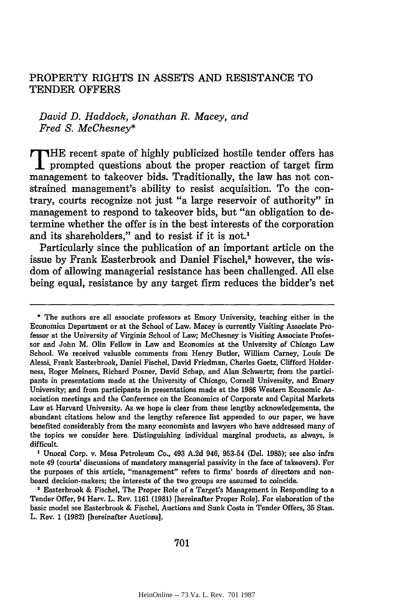## PROPERTY RIGHTS IN **ASSETS AND RESISTANCE** TO TENDER OFFERS

# *David D. Haddock, Jonathan R. Macey, and Fred S. McChesney\**

**T** HE recent spate of highly publicized hostile tender offers has **1** prompted questions about the proper reaction of target firm management to takeover bids. Traditionally, the law has not constrained management's ability to resist acquisition. To the contrary, courts recognize not just "a large reservoir of authority" in management to respond to takeover bids, but "an obligation to determine whether the offer is in the best interests of the corporation and its shareholders," and to resist if it is not.<sup>1</sup>

Particularly since the publication of an important article on the issue by Frank Easterbrook and Daniel Fischel,<sup>2</sup> however, the wisdom of allowing managerial resistance has been challenged. **All** else being equal, resistance **by** any target firm reduces the bidder's net

**<sup>\*</sup>** The authors are all associate professors at Emory University, teaching either in the Economics Department or at the School of Law. Macey is currently Visiting Associate Professor at the University of Virginia School of Law; McChesney is Visiting Associate Professor and John M. Olin Fellow in Law and Economics at the University of Chicago Law School. We received valuable comments from Henry Butler, William Carney, Louis De Alessi, Frank Easterbrook, Daniel Fischel, David Friedman, Charles Goetz, Clifford Holderness, Roger Meiners, Richard Posner, David Schap, and Alan Schwartz; from the participants in presentations made at the University of Chicago, Cornell University, and Emory University; and from participants in presentations made at the 1986 Western Economic Association meetings and the Conference on the Economics of Corporate and Capital Markets Law at Harvard University. As we hope is clear from these lengthy acknowledgements, the abundant citations below and the lengthy reference list appended to our paper, we have benefited considerably from the many economists and lawyers who have addressed many of the topics we consider here. Distinguishing individual marginal products, as always, is difficult.

**<sup>&#</sup>x27;** Unocal Corp. v. Mesa Petroleum Co., 493 A.2d 946, 953-54 (Del. 1985); see also infra note 49 (courts' discussions of mandatory managerial passivity in the face of takeovers). For the purposes of this article, "management" refers to firms' boards of directors and nonboard decision-makers; the interests of the two groups are assumed to coincide.

Easterbrook & Fischel, The Proper Role of a Target's Management in Responding to a Tender Offer, 94 Harv. L. Rev. 1161 **(1981)** [hereinafter Proper Role]. For elaboration of the basic model see Easterbrook & Fischel, Auctions and Sunk Costs in Tender Offers, 35 Stan. L. Rev. 1 (1982) [hereinafter Auctions].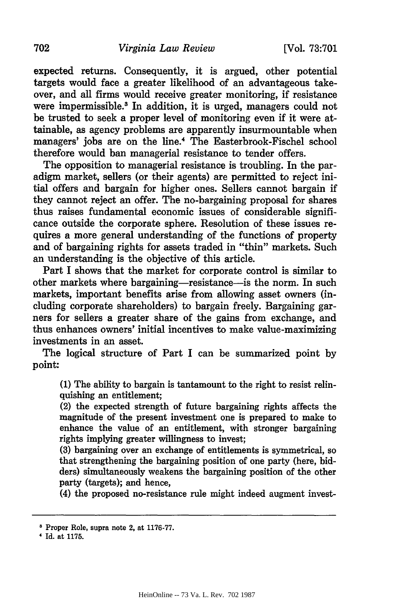expected returns. Consequently, it is argued, other potential targets would face a greater likelihood of an advantageous takeover, and all firms would receive greater monitoring, if resistance were impermissible.<sup>3</sup> In addition, it is urged, managers could not be trusted to seek a proper level of monitoring even if it were attainable, as agency problems are apparently insurmountable when managers' jobs are on the line.4 The Easterbrook-Fischel school therefore would ban managerial resistance to tender offers.

The opposition to managerial resistance is troubling. In the paradigm market, sellers (or their agents) are permitted to reject initial offers and bargain for higher ones. Sellers cannot bargain if they cannot reject an offer. The no-bargaining proposal for shares thus raises fundamental economic issues of considerable significance outside the corporate sphere. Resolution of these issues requires a more general understanding of the functions of property and of bargaining rights for assets traded in "thin" markets. Such an understanding is the objective of this article.

Part I shows that the market for corporate control is similar to other markets where bargaining-resistance-is the norm. In such markets, important benefits arise from allowing asset owners (including corporate shareholders) to bargain freely. Bargaining garners for sellers a greater share of the gains from exchange, and thus enhances owners' initial incentives to make value-maximizing investments in an asset.

The logical structure of Part **I** can be summarized point **by** point:

**(1)** The ability to bargain is tantamount to the right to resist relinquishing an entitlement;

(2) the expected strength of future bargaining rights affects the magnitude of the present investment one is prepared to make to enhance the value of an entitlement, with stronger bargaining rights implying greater willingness to invest;

**(3)** bargaining over an exchange of entitlements is symmetrical, so that strengthening the bargaining position of one party (here, bidders) simultaneously weakens the bargaining position of the other party (targets); and hence,

(4) the proposed no-resistance rule might indeed augment invest-

**<sup>3</sup>** Proper Role, supra note 2, at 1176-77.

**Id.** at 1175.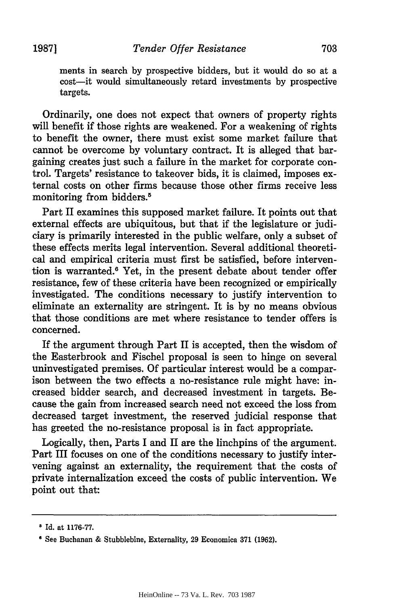ments in search by prospective bidders, but it would do so at a cost-it would simultaneously retard investments by prospective targets.

Ordinarily, one does not expect that owners of property rights will benefit if those rights are weakened. For a weakening of rights to benefit the owner, there must exist some market failure that cannot be overcome by voluntary contract. It is alleged that bargaining creates just such a failure in the market for corporate control. Targets' resistance to takeover bids, it is claimed, imposes external costs on other firms because those other firms receive less monitoring from bidders.<sup>5</sup>

Part II examines this supposed market failure. It points out that external effects are ubiquitous, but that if the legislature or judiciary is primarily interested in the public welfare, only a subset of these effects merits legal intervention. Several additional theoretical and empirical criteria must first be satisfied, before intervention is warranted.<sup>6</sup> Yet, in the present debate about tender offer resistance, few of these criteria have been recognized or empirically investigated. The conditions necessary to justify intervention to eliminate an externality are stringent. It is **by** no means obvious that those conditions are met where resistance to tender offers is concerned.

If the argument through Part II is accepted, then the wisdom of the Easterbrook and Fischel proposal is seen to hinge on several uninvestigated premises. **Of** particular interest would be a comparison between the two effects a no-resistance rule might have: increased bidder search, and decreased investment in targets. Because the gain from increased search need not exceed the loss from decreased target investment, the reserved judicial response that has greeted the no-resistance proposal is in fact appropriate.

Logically, then, Parts I and II are the linchpins of the argument. Part III focuses on one of the conditions necessary to justify intervening against an externality, the requirement that the costs of private internalization exceed the costs of public intervention. We point out that:

**<sup>&</sup>quot;** Id. at **1176-77.**

**<sup>&#</sup>x27;** See Buchanan & Stubblebine, Externality, **29** Economica **371 (1962).**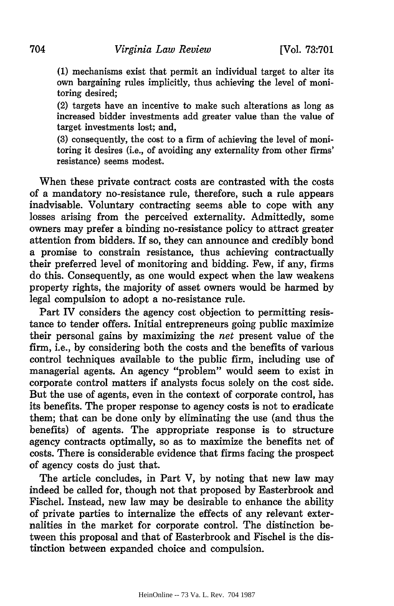**(1)** mechanisms exist that permit an individual target to alter its own bargaining rules implicitly, thus achieving the level of monitoring desired;

(2) targets have an incentive to make such alterations as long as increased bidder investments add greater value than the value of target investments lost; and,

(3) consequently, the cost to a firm of achieving the level of monitoring it desires (i.e., of avoiding any externality from other firms' resistance) seems modest.

When these private contract costs are contrasted with the costs of a mandatory no-resistance rule, therefore, such a rule appears inadvisable. Voluntary contracting seems able to cope with any losses arising from the perceived externality. Admittedly, some owners may prefer a binding no-resistance policy to attract greater attention from bidders. If so, they can announce and credibly bond a promise to constrain resistance, thus achieving contractually their preferred level of monitoring and bidding. Few, if any, firms do this. Consequently, as one would expect when the law weakens property rights, the majority of asset owners would be harmed by legal compulsion to adopt a no-resistance rule.

Part IV considers the agency cost objection to permitting resistance to tender offers. Initial entrepreneurs going public maximize their personal gains by maximizing the *net* present value of the firm, i.e., **by** considering both the costs and the benefits of various control techniques available to the public firm, including use of managerial agents. An agency "problem" would seem to exist in corporate control matters if analysts focus solely on the cost side. But the use of agents, even in the context of corporate control, has its benefits. The proper response to agency costs is not to eradicate them; that can be done only **by** eliminating the use (and thus the benefits) of agents. The appropriate response is to structure agency contracts optimally, so as to maximize the benefits net of costs. There is considerable evidence that firms facing the prospect of agency costs do just that.

The article concludes, in Part V, **by** noting that new law may indeed be called for, though not that proposed **by** Easterbrook and Fischel. Instead, new law may be desirable to enhance the ability of private parties to internalize the effects of any relevant externalities in the market for corporate control. The distinction between this proposal and that of Easterbrook and Fischel is the distinction between expanded choice and compulsion.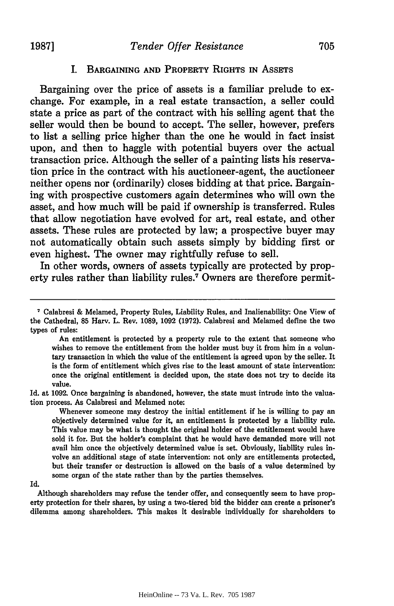### I. **BARGAINING AND** PROPERTY RIGHTS **IN** ASSETS

Bargaining over the price of assets is a familiar prelude to exchange. For example, in a real estate transaction, a seller could state a price as part of the contract with his selling agent that the seller would then be bound to accept. The seller, however, prefers to list a selling price higher than the one he would in fact insist upon, and then to haggle with potential buyers over the actual transaction price. Although the seller of a painting lists his reservation price in the contract with his auctioneer-agent, the auctioneer neither opens nor (ordinarily) closes bidding at that price. Bargaining with prospective customers again determines who will own the asset, and how much will be paid if ownership is transferred. Rules that allow negotiation have evolved for art, real estate, and other assets. These rules are protected by law; a prospective buyer may not automatically obtain such assets simply by bidding first or even highest. The owner may rightfully refuse to sell.

In other words, owners of assets typically are protected by property rules rather than liability rules.<sup>7</sup> Owners are therefore permit-

Id. at **1092.** Once bargaining is abandoned, however, the state must intrude into the valuation process. As Calabresi and Melamed note:

Whenever someone may destroy the initial entitlement if he is willing to pay an objectively determined value for it, an entitlement is protected **by** a liability rule. This value may be what is thought the original holder of the entitlement would have sold it for. But the holder's complaint that he would have demanded more will not avail him once the objectively determined value is set. Obviously, liability rules involve an additional stage of state intervention: not only are entitlements protected, but their transfer or destruction is allowed on the basis of a value determined **by** some organ of the state rather than **by** the parties themselves.

**Id.**

Although shareholders may refuse the tender offer, and consequently seem to have property protection for their shares, **by** using a two-tiered bid the bidder can create a prisoner's dilemma among shareholders. This makes it desirable individually for shareholders to

Calabresi & Melamed, Property Rules, Liability Rules, and Inalienability: One View of the Cathedral, **85** Harv. L. Rev. 1089, 1092 (1972). Calabresi and Melamed define the two types of rules:

An entitlement is protected by a property rule to the extent that someone who wishes to remove the entitlement from the holder must buy it from him in a voluntary transaction in which the value of the entitlement is agreed upon by the seller. It is the form of entitlement which gives rise to the least amount of state intervention: once the original entitlement is decided upon, the state does not try to decide its value.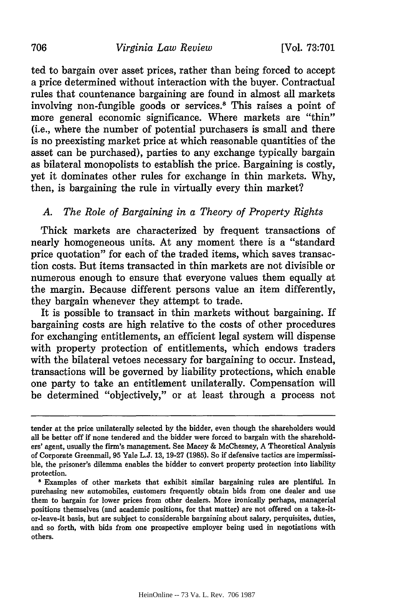ted to bargain over asset prices, rather than being forced to accept a price determined without interaction with the buyer. Contractual rules that countenance bargaining are found in almost all markets involving non-fungible goods or services.8 This raises a point of more general economic significance. Where markets are "thin" (i.e., where the number of potential purchasers is small and there is no preexisting market price at which reasonable quantities of the asset can be purchased), parties to any exchange typically bargain as bilateral monopolists to establish the price. Bargaining is costly, yet it dominates other rules for exchange in thin markets. Why, then, is bargaining the rule in virtually every thin market?

## *A. The Role of Bargaining in a Theory of Property Rights*

Thick markets are characterized by frequent transactions of nearly homogeneous units. At any moment there is a "standard price quotation" for each of the traded items, which saves transaction costs. But items transacted in thin markets are not divisible or numerous enough to ensure that everyone values them equally at the margin. Because different persons value an item differently, they bargain whenever they attempt to trade.

It is possible to transact in thin markets without bargaining. If bargaining costs are high relative to the costs of other procedures for exchanging entitlements, an efficient legal system will dispense with property protection of entitlements, which endows traders with the bilateral vetoes necessary for bargaining to occur. Instead, transactions will be governed by liability protections, which enable one party to take an entitlement unilaterally. Compensation will be determined "objectively," or at least through a process not

tender at the price unilaterally selected by the bidder, even though the shareholders would all be better off if none tendered and the bidder were forced to bargain with the shareholders' agent, usually the firm's management. See Macey & McChesney, A Theoretical Analysis of Corporate Greenmail, 95 Yale L.J. 13, 19-27 (1985). So if defensive tactics are impermissible, the prisoner's dilemma enables the bidder to convert property protection into liability protection.

**<sup>8</sup>** Examples of other markets that exhibit similar bargaining rules are plentiful. In purchasing new automobiles, customers frequently obtain bids from one dealer and use them to bargain for lower prices from other dealers. More ironically perhaps, managerial positions themselves (and academic positions, for that matter) are not offered on a take-itor-leave-it basis, but are subject to considerable bargaining about salary, perquisites, duties, and so forth, with bids from one prospective employer being used in negotiations with others.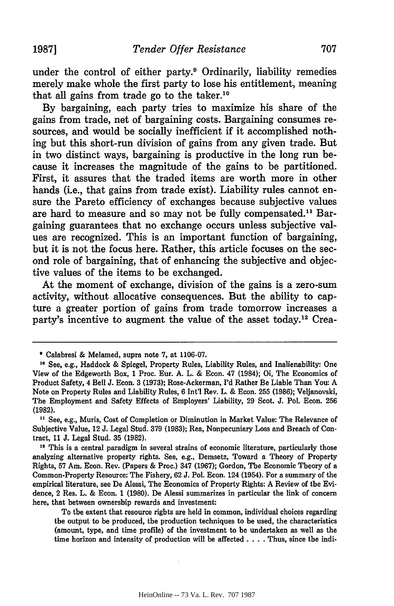under the control of either party.<sup>9</sup> Ordinarily, liability remedies merely make whole the first party to lose his entitlement, meaning that all gains from trade go to the taker.10

By bargaining, each party tries to maximize his share of the gains from trade, net of bargaining costs. Bargaining consumes resources, and would be socially inefficient if it accomplished nothing but this short-run division of gains from any given trade. But in two distinct ways, bargaining is productive in the long run because it increases the magnitude of the gains to be partitioned. First, it assures that the traded items are worth more in other hands (i.e., that gains from trade exist). Liability rules cannot ensure the Pareto efficiency of exchanges because subjective values are hard to measure and so may not be fully compensated.11 Bargaining guarantees that no exchange occurs unless subjective values are recognized. This is an important function of bargaining, but it is not the focus here. Rather, this article focuses on the second role of bargaining, that of enhancing the subjective and objective values of the items to be exchanged.

At the moment of exchange, division of the gains is a zero-sum activity, without allocative consequences. But the ability to capture a greater portion of gains from trade tomorrow increases a party's incentive to augment the value of the asset today.12 Crea-

**"** See, e.g., Muris, Cost of Completion or Diminution in Market Value: The Relevance of Subjective Value, 12 **J.** Legal Stud. **379 (1983);** Rea, Nonpecuniary Loss and Breach of Contract, **11 J.** Legal Stud. **35 (1982).**

<sup>12</sup> This is a central paradigm in several strains of economic literature, particularly those analyzing alternative property rights. See, e.g., Demsetz, Toward a Theory of Property Rights, **57** Am. Econ. Rev. (Papers & Proc.) 347 **(1967);** Gordon, The Economic Theory of a Common-Property Resource: The Fishery, **62 J.** Pol. Econ. 124 (1954). For a summary of the empirical literature, see De Alessi, The Economics of Property Rights: **A** Review of the Evidence, 2 Res. L. **&** Econ. **1 (1980).** De Alessi summarizes in particular the link of concern here, that between ownership rewards and investment:

To the extent that resource rights are held in common, individual choices regarding the output to be produced, the production techniques to be used, the characteristics (amount, type, and time profile) of the investment to be undertaken as well as the time horizon and intensity of production will be affected. . **.** . Thus, since the **indi-**

**19871**

<sup>&#</sup>x27; Calabresi & Melamed, supra note 7, at 1106-07.

<sup>&</sup>lt;sup>10</sup> See, e.g., Haddock & Spiegel, Property Rules, Liability Rules, and Inalienability: One View of the Edgeworth Box, 1 Proc. Eur. A. L. & Econ. 47 (1984); Oi, The Economics of Product Safety, 4 Bell J. Econ. 3 (1973); Rose-Ackerman, I'd Rather Be Liable Than You: A Note on Property Rules and Liability Rules, 6 Int'l Rev. L. & Econ. 255 (1986); Velianovski, The Employment and Safety Effects of Employers' Liability, 29 Scot. J. Pol. Econ. 256 **(1982).**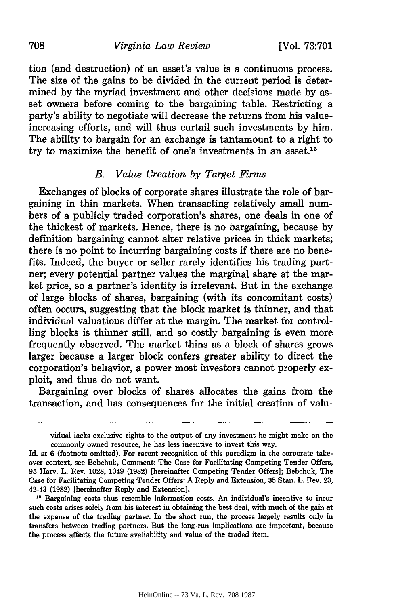tion (and destruction) of an asset's value is a continuous process. The size of the gains to be divided in the current period is determined by the myriad investment and other decisions made by asset owners before coming to the bargaining table. Restricting a party's ability to negotiate will decrease the returns from his valueincreasing efforts, and will thus curtail such investments by him. The ability to bargain for an exchange is tantamount to a right to try to maximize the benefit of one's investments in an asset.<sup>13</sup>

## *B. Value Creation by Target Firms*

Exchanges of blocks of corporate shares illustrate the role of bargaining in thin markets. When transacting relatively small numbers of a publicly traded corporation's shares, one deals in one of the thickest of markets. Hence, there is no bargaining, because by definition bargaining cannot alter relative prices in thick markets; there is no point to incurring bargaining costs if there are no benefits. Indeed, the buyer or seller rarely identifies his trading partner; every potential partner values the marginal share at the market price, so a partner's identity is irrelevant. But in the exchange of large blocks of shares, bargaining (with its concomitant costs) often occurs, suggesting that the block market is thinner, and that individual valuations differ at the margin. The market for controlling blocks is thinner still, and so costly bargaining is even more frequently observed. The market thins as a block of shares grows larger because a larger block confers greater ability to direct the corporation's behavior, a power most investors cannot properly exploit, and thus do not want.

Bargaining over blocks of shares allocates the gains from the transaction, and has consequences for the initial creation of valu-

vidual lacks exclusive rights to the output of any investment he might make on the commonly owned resource, he has less incentive to invest this way.

**Id.** at 6 (footnote omitted). For recent recognition of this paradigm in the corporate takeover context, see Bebchuk, Comment: The Case for Facilitating Competing Tender Offers, 95 Harv. L. Rev. 1028, 1049 (1982) [hereinafter Competing Tender Offers]; Bebchuk, The Case for Facilitating Competing Tender Offers: A Reply and Extension, 35 Stan. L. Rev. 23, 42-43 (1982) [hereinafter Reply and Extension].

<sup>&</sup>lt;sup>13</sup> Bargaining costs thus resemble information costs. An individual's incentive to incur such costs arises solely from his interest in obtaining the best deal, with much of the gain at the expense of the trading partner. In the short run, the process largely results only in transfers between trading partners. But the long-run implications are important, because the process affects the future availability and value of the traded item.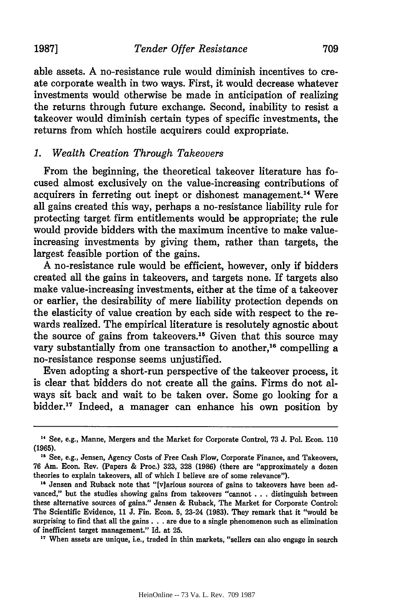**1987]**

*Tender Offer Resistance*

able assets. A no-resistance rule would diminish incentives to create corporate wealth in two ways. First, it would decrease whatever investments would otherwise be made in anticipation of realizing the returns through future exchange. Second, inability to resist a takeover would diminish certain types of specific investments, the returns from which hostile acquirers could expropriate.

### *1. Wealth Creation Through Takeovers*

From the beginning, the theoretical takeover literature has focused almost exclusively on the value-increasing contributions of acquirers in ferreting out inept or dishonest management. 14 Were all gains created this way, perhaps a no-resistance liability rule for protecting target firm entitlements would be appropriate; the rule would provide bidders with the maximum incentive to make valueincreasing investments by giving them, rather than targets, the largest feasible portion of the gains.

A no-resistance rule would be efficient, however, only if bidders created all the gains in takeovers, and targets none. If targets also make value-increasing investments, either at the time of a takeover or earlier, the desirability of mere liability protection depends on the elasticity of value creation by each side with respect to the rewards realized. The empirical literature is resolutely agnostic about the source of gains from takeovers.15 Given that this source may vary substantially from one transaction to another,<sup>16</sup> compelling a no-resistance response seems unjustified.

Even adopting a short-run perspective of the takeover process, it is clear that bidders do not create all the gains. Firms do not always sit back and wait to be taken over. Some go looking for a bidder.<sup>17</sup> Indeed, a manager can enhance his own position by

**<sup>17</sup>**When assets are unique, i.e., traded in thin markets, "sellers can also engage in search

<sup>4</sup> See, e.g., Manne, Mergers and the Market for Corporate Control, **73 J.** Pol. Econ. **<sup>110</sup> (1965). '5** See, e.g., Jensen, Agency Costs of Free Cash Flow, Corporate Finance, and Takeovers,

**<sup>76</sup>** Am. Econ. Rev. (Papers & Proc.) **323, 328 (1986)** (there are "approximately a dozen theories to explain takeovers, all of which **I** believe are of some relevance").

<sup>&</sup>lt;sup>16</sup> Jensen and Ruback note that "[v]arious sources of gains to takeovers have been advanced," but the studies showing gains from takeovers "cannot **...**distinguish between these alternative sources of gains." Jensen & Ruback, The Market for Corporate Control: **The** Scientific Evidence, **11 J.** Fin. Econ. **5,** 23-24 **(1983).** They remark that it "would be surprising to find that all the gains. **.** are due to a single phenomenon such as elimination of inefficient target management." Id. at **25.**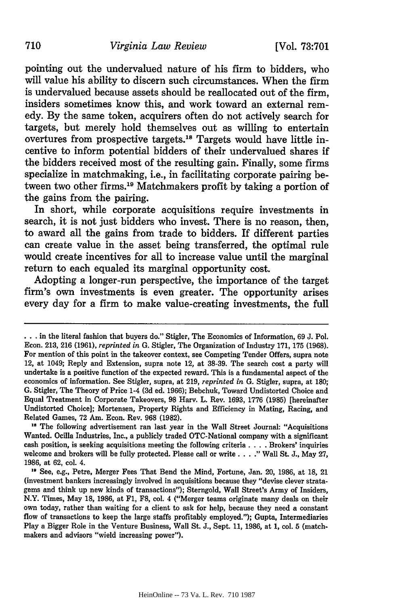pointing out the undervalued nature of his firm to bidders, who will value his ability to discern such circumstances. When the firm is undervalued because assets should be reallocated out of the firm, insiders sometimes know this, and work toward an external remedy. By the same token, acquirers often do not actively search for targets, but merely hold themselves out as willing to entertain overtures from prospective targets.18 Targets would have little incentive to inform potential bidders of their undervalued shares if the bidders received most of the resulting gain. Finally, some firms specialize in matchmaking, i.e., in facilitating corporate pairing between two other firms.19 Matchmakers profit **by** taking a portion of the gains from the pairing.

In short, while corporate acquisitions require investments in search, it is not just bidders who invest. There is no reason, then, to award all the gains from trade to bidders. If different parties can create value in the asset being transferred, the optimal rule would create incentives for all to increase value until the marginal return to each equaled its marginal opportunity cost.

Adopting a longer-run perspective, the importance of the target firm's own investments is even greater. The opportunity arises every day for a firm to make value-creating investments, the **full**

**<sup>...</sup>**in the literal fashion that buyers do." Stigler, The Economics of Information, **69 J.** Pol. Econ. **213, 216 (1961),** *reprinted in* **G.** Stigler, The Organization of Industry **171, 175 (1968).** For mention of this point in the takeover context, see Competing Tender Offers, supra note 12, at 1049; Reply and Extension, supra note 12, at **38-39.** The search cost a party will undertake is a positive function of the expected reward. This is a fundamental aspect of the economics of information. See Stigler, supra, at **219,** *reprinted in* **G.** Stigler, supra, at **180; G.** Stigler, The Theory of Price 1-4 **(3d** ed. **1966);** Bebchuk, Toward Undistorted Choice and Equal Treatment in Corporate Takeovers, **98** Harv. L. Rev. **1693, 1776 (1985)** [hereinafter Undistorted Choice]; Mortensen, Property Rights and Efficiency in Mating, Racing, and Related Games, **72** Am. Econ. Rev. **968 (1982).**

<sup>&</sup>lt;sup>18</sup> The following advertisement ran last year in the Wall Street Journal: "Acquisitions Wanted. Ocilla Industries, Inc., a publicly traded OTC-National company with a significant cash position, is seeking acquisitions meeting the following criteria. .**..** Brokers' inquiries welcome and brokers will be fully protected. Please call or write **......** Wall St. **J.,** May **27, 1986,** at **62,** col. 4.

**<sup>19</sup>** See, e.g., Petre, Merger Fees That Bend the Mind, Fortune, Jan. 20, **1986,** at **18,** 21 (investment bankers increasingly involved in acquisitions because they "devise clever stratagems and think up new kinds of transactions"); Sterngold, Wall Street's Army of Insiders, N.Y. Times, May **18, 1986,** at **F1, F8,** col. 4 ("Merger teams originate many deals on their own today, rather than waiting for a client to ask for help, because they need a constant flow of transactions to keep the large staffs profitably employed."); Gupta, Intermediaries Play a Bigger Role in the Venture Business, Wall St. **J.,** Sept. **11,** 1986, at **1,** col. **5** (matchmakers and advisors "wield increasing power").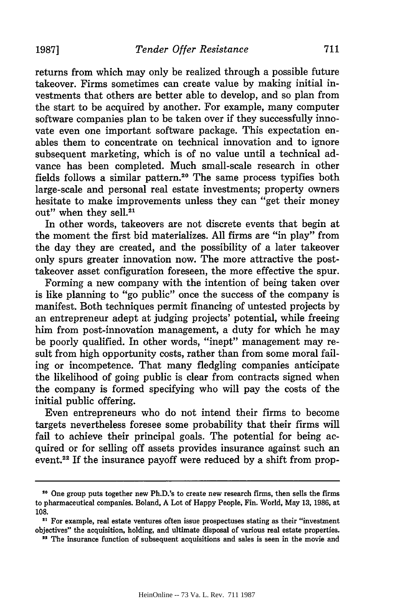returns from which may only be realized through a possible future takeover. Firms sometimes can create value by making initial investments that others are better able to develop, and so plan from the start to be acquired by another. For example, many computer software companies plan to be taken over if they successfully innovate even one important software package. This expectation enables them to concentrate on technical innovation and to ignore subsequent marketing, which is of no value until a technical advance has been completed. Much small-scale research in other fields follows a similar pattern.20 The same process typifies both large-scale and personal real estate investments; property owners hesitate to make improvements unless they can "get their money out" when they sell.<sup>21</sup>

In other words, takeovers are not discrete events that begin at the moment the first bid materializes. All firms are "in play" from the day they are created, and the possibility of a later takeover only spurs greater innovation now. The more attractive the posttakeover asset configuration foreseen, the more effective the spur.

Forming a new company with the intention of being taken over is like planning to "go public" once the success of the company is manifest. Both techniques permit financing of untested projects by an entrepreneur adept at judging projects' potential, while freeing him from post-innovation management, a duty for which he may be poorly qualified. In other words, "inept" management may result from high opportunity costs, rather than from some moral failing or incompetence. That many fledgling companies anticipate the likelihood of going public is clear from contracts signed when the company is formed specifying who will pay the costs of the initial public offering.

Even entrepreneurs who do not intend their firms to become targets nevertheless foresee some probability that their firms will fail to achieve their principal goals. The potential for being acquired or for selling off assets provides insurance against such an event.<sup>22</sup> If the insurance payoff were reduced by a shift from prop-

**<sup>20</sup>**One group puts together new Ph.D.'s to create new research firms, then sells the firms to pharmaceutical companies. Boland, **A** Lot of Happy People, Fin. World, May **13, 1986,** at **108.** 2' For example, real estate ventures often issue prospectuses stating as their "investment

objectives" the acquisition, holding, and ultimate disposal of various real estate properties.

<sup>&</sup>lt;sup>22</sup> The insurance function of subsequent acquisitions and sales is seen in the movie and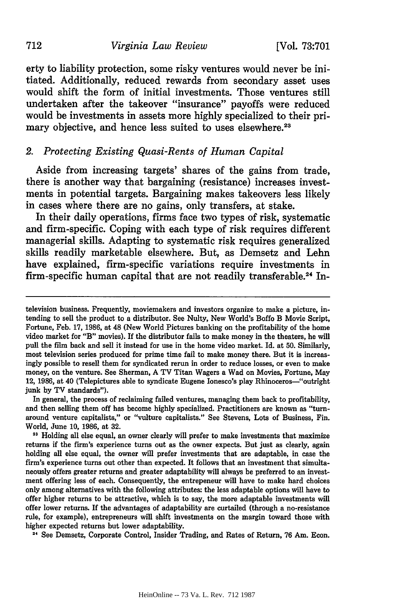erty to liability protection, some risky ventures would never be initiated. Additionally, reduced rewards from secondary asset uses would shift the form of initial investments. Those ventures still undertaken after the takeover "insurance" payoffs were reduced would be investments in assets more **highly** specialized to their primary objective, and hence less suited to uses elsewhere.<sup>23</sup>

# *2. Protecting Existing Quasi-Rents of Human Capital*

Aside from increasing targets' shares of the gains from trade, there is another way that bargaining (resistance) increases investments in potential targets. Bargaining makes takeovers less likely in cases where there are no gains, only transfers, at stake.

In their daily operations, firms face two types of risk, systematic and firm-specific. Coping with each type of risk requires different managerial skills. Adapting to systematic risk requires generalized skills readily marketable elsewhere. But, as Demsetz and Lehn have explained, firm-specific variations require investments in firm-specific human capital that are not readily transferable.<sup>24</sup> In-

In general, the process of reclaiming failed ventures, managing them back to profitability, and then selling them off has become highly specialized. Practitioners are known as "turnaround venture capitalists," or "vulture capitalists." See Stevens, Lots of Business, Fin. World, June 10, 1986, at 32.

<sup>23</sup> Holding all else equal, an owner clearly will prefer to make investments that maximize returns if the firm's experience turns out as the owner expects. But just as clearly, again holding all else equal, the owner will prefer investments that are adaptable, in case the firm's experience turns out other than expected. It follows that an investment that simultaneously offers greater returns and greater adaptability will always be preferred to an investment offering less of each. Consequently, the entrepeneur will have to make hard choices only among alternatives with the following attributes: the less adaptable options will have to offer higher returns to be attractive, which is to say, the more adaptable investments will offer lower returns. If the advantages of adaptability are curtailed (through a no-resistance rule, for example), entrepreneurs will shift investments on the margin toward those with higher expected returns but lower adaptability.

**24** See Demsetz, Corporate Control, Insider Trading, and Rates of Return, **76** Am. Econ.

television business. Frequently, moviemakers and investors organize to make a picture, intending to sell the product to a distributor. See Nulty, New World's Boffo B Movie Script, Fortune, Feb. 17, 1986, at 48 (New World Pictures banking on the profitability of the home video market for "B" movies). If the distributor fails to make money in the theaters, he will pull the film back and sell it instead for use in the home video market. Id. at 50. Similarly, most television series produced for prime time fail to make money there. But it is increasingly possible to resell them for syndicated rerun in order to reduce losses, or even to make money, on the venture. See Sherman, A TV Titan Wagers a Wad on Movies, Fortune, May 12, 1986, at 40 (Telepictures able to syndicate Eugene Ionesco's play Rhinoceros-"outright junk by TV standards").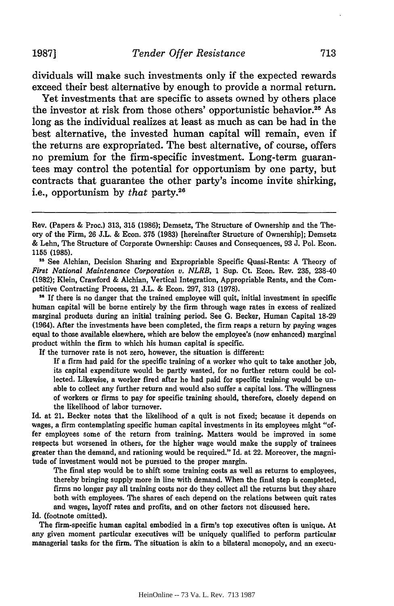dividuals will make such investments only if the expected rewards exceed their best alternative by enough to provide a normal return.

Yet investments that are specific to assets owned by others place the investor at risk from those others' opportunistic behavior.<sup>25</sup> As long as the individual realizes at least as much as can be had in the best alternative, the invested human capital will remain, even if the returns are expropriated. The best alternative, of course, offers no premium for the firm-specific investment. Long-term guarantees may control the potential for opportunism by one party, but contracts that guarantee the other party's income invite shirking, i.e., opportunism by *that* party.26

**'5** See Alchian, Decision Sharing and Expropriable Specific Quasi-Rents: **A** Theory of *First National Maintenance Corporation v. NLRB,* 1 Sup. Ct. Econ. Rev. **235,** 238-40 **(1982);** Klein, Crawford **&** Alchian, Vertical Integration, Appropriable Rents, and the Competitive Contracting Process, 21 **J.L.** & Econ. **297, 313 (1978).**

**24** If there is no danger that the trained employee will quit, initial investment in specific human capital will be borne entirely **by** the firm through wage rates in excess of realized marginal products during an initial training period. See **G.** Becker, Human Capital **18-29** (1964). After the investments have been completed, the firm reaps a return **by** paying wages equal to those available elsewhere, which are below the employee's (now enhanced) marginal product within the firm to which his human capital is specific.

**If** the turnover rate is not zero, however, the situation is different:

If a firm had paid for the specific training of a worker who quit to take another job, its capital expenditure would be partly wasted, for no further return could be collected. Likewise, a worker fired after he had paid for specific training would be unable to collect any further return and would also suffer a capital loss. The willingness of workers or firms to pay for specific training should, therefore, closely depend on the likelihood of labor turnover.

**Id.** at 21. Becker notes that the likelihood of a quit is not fixed; because it depends on wages, a firm contemplating specific human capital investments in its employees might "offer employees some of the return from training. Matters would be improved in some respects but worsened in others, for the higher wage would make the supply of trainees greater than the demand, and rationing would be required." Id. at 22. Moreover, the magnitude of investment would not be pursued to the proper margin.

The final step would be to shift some training costs as well as returns to employees, thereby bringing supply more in line with demand. When the final step is completed, firms no longer pay all training costs nor do they collect all the returns but they share both with employees. The shares of each depend on the relations between quit rates and wages, layoff rates and profits, and on other factors not discussed here.

**Id.** (footnote omitted).

The firm-specific human capital embodied in a firm's top executives often is unique. At any given moment particular executives will be uniquely qualified to perform particular managerial tasks for the firm. The situation is akin to a bilateral monopoly, and an execu-

Rev. (Papers & Proc.) 313, 315 (1986); Demsetz, The Structure of Ownership and the Theory of the Firm, 26 J.L. & Econ. 375 (1983) [hereinafter Structure of Ownership]; Demsetz & Lehn, The Structure of Corporate Ownership: Causes and Consequences, 93 J. Pol. Econ. 1155 (1985).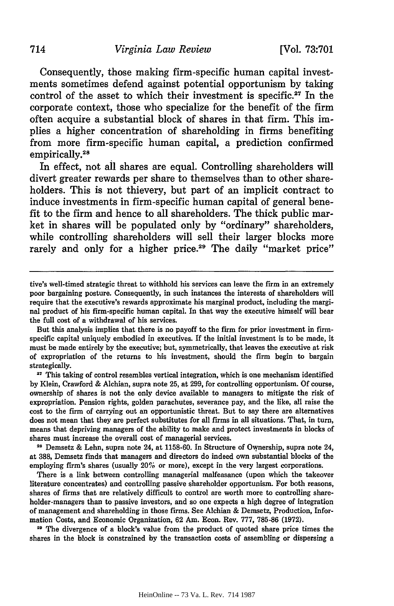Consequently, those making firm-specific human capital investments sometimes defend against potential opportunism by taking control of the asset to which their investment is specific.<sup>27</sup> In the corporate context, those who specialize for the benefit of the firm often acquire a substantial block of shares in that firm. This implies a higher concentration of shareholding in firms benefiting from more firm-specific human capital, a prediction confirmed empirically.<sup>28</sup>

In effect, not all shares are equal. Controlling shareholders will divert greater rewards per share to themselves than to other shareholders. This is not thievery, but part of an implicit contract to induce investments in firm-specific human capital of general benefit to the firm and hence to all shareholders. The thick public market in shares will be populated only by "ordinary" shareholders, while controlling shareholders will sell their larger blocks more rarely and only for a higher price.<sup>29</sup> The daily "market price"

tive's well-timed strategic threat to withhold his services can leave the firm in an extremely poor bargaining posture. Consequently, in such instances the interests of shareholders will require that the executive's rewards approximate his marginal product, including the marginal product of his firm-specific human capital. In that way the executive himself will bear the full cost of a withdrawal of his services.

But this analysis implies that there is no payoff to the firm for prior investment in firmspecific capital uniquely embodied in executives. If the initial investment is to be made, it must be made entirely **by** the executive; but, symmetrically, that leaves the executive at risk of expropriation of the returns to his investment, should the firm begin to bargain strategically.

**<sup>2</sup><sup>7</sup>**This taking of control resembles vertical integration, which is one mechanism identified **by** Klein, Crawford **&** Alchian, supra note **25,** at **299,** for controlling opportunism. **Of** course, ownership of shares is not the only device available to managers to mitigate the risk of expropriation. Pension rights, golden parachutes, severance pay, and the like, all raise the cost to the firm of carrying out an opportunistic threat. But to say there are alternatives does not mean that they are perfect substitutes for all firms in all situations. That, in turn, means that depriving managers of the ability to make and protect investments in blocks of shares must increase the overall cost of managerial services.

**<sup>28</sup>**Demsetz **&** Lehn, supra note 24, at **1158-60.** In Structure of Ownership, supra note 24, at **388,** Demsetz finds that managers and directors do indeed own substantial blocks of the employing firm's shares (usually 20% or more), except in the very largest corporations.

There is a link between controlling managerial malfeasance (upon which the takeover literature concentrates) and controlling passive shareholder opportunism. For both reasons, shares of firms that are relatively difficult to control are worth more to controlling shareholder-managers than to passive investors, and so one expects a high degree of integration of management and shareholding in those firms. See Alchian **&** Demsetz, Production, Information Costs, and Economic Organization, **62** Am. Econ. Rev. **777, 785-86 (1972).**

<sup>29</sup> The divergence of a block's value from the product of quoted share price times the shares in the block is constrained **by** the transaction costs of assembling or dispersing a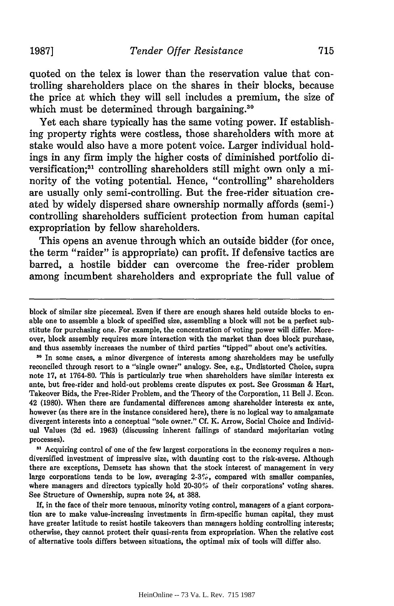quoted on the telex is lower than the reservation value that controlling shareholders place on the shares in their blocks, because the price at which they will sell includes a premium, the size of which must be determined through bargaining.<sup>30</sup>

Yet each share typically has the same voting power. If establishing property rights were costless, those shareholders with more at stake would also have a more potent voice. Larger individual holdings in any firm imply the higher costs of diminished portfolio diversification;<sup>31</sup> controlling shareholders still might own only a minority of the voting potential. Hence, "controlling" shareholders are usually only semi-controlling. But the free-rider situation created by widely dispersed share ownership normally affords (semi-) controlling shareholders sufficient protection from human capital expropriation by fellow shareholders.

This opens an avenue through which an outside bidder (for once, the term "raider" is appropriate) can profit. If defensive tactics are barred, a hostile bidder can overcome the free-rider problem among incumbent shareholders and expropriate the full value of

**<sup>30</sup>**In some cases, a minor divergence of interests among shareholders may be usefully reconciled through resort to a "single owner" analogy. See, e.g., Undistorted Choice, supra note 17, at 1764-80. This is particularly true when shareholders have similar interests ex ante, but free-rider and hold-out problems create disputes ex post. See Grossman & Hart, Takeover Bids, the Free-Rider Problem, and the Theory of the Corporation, 11 Bell J. Econ. 42 (1980). When there are fundamental differences among shareholder interests ex ante, however (as there are in the instance considered here), there is no logical way to amalgamate divergent interests into a conceptual "sole owner." **Cf.** K. Arrow, Social Choice and Individual Values **(2d** ed. **1963)** (discussing inherent failings of standard majoritarian voting processes).

**31** Acquiring control of one of the few largest corporations in the economy requires a nondiversified investment of impressive size, with daunting cost to the risk-averse. Although there are exceptions, Demsetz has shown that the stock interest of management in very large corporations tends to be low, averaging **2-3%,** compared with smaller companies, where managers and directors typically hold 20-30% of their corporations' voting shares. See Structure of Ownership, supra note 24, at **388.**

If, in the face of their more tenuous, minority voting control, managers of a giant corporation are to make value-increasing investments in firm-specific human capital, they must have greater latitude to resist hostile takeovers than managers holding controlling interests; otherwise, they cannot protect their quasi-rents from expropriation. When the relative cost of alternative tools differs between situations, the optimal mix of tools will differ also.

block of similar size piecemeal. Even if there are enough shares held outside blocks to enable one to assemble a block of specified size, assembling a block will not be a perfect substitute for purchasing one. For example, the concentration of voting power will differ. Moreover, block assembly requires more interaction with the market than does block purchase, and thus assembly increases the number of third parties "tipped" about one's activities.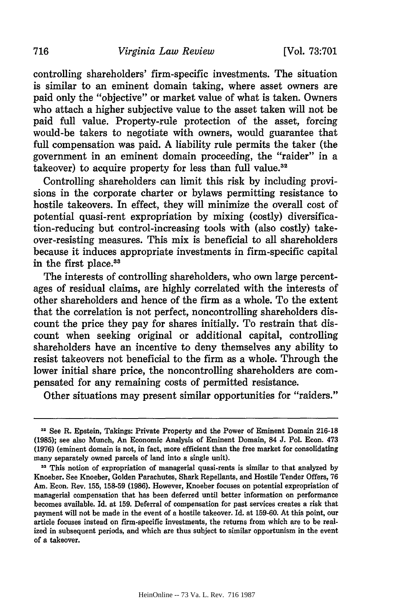controlling shareholders' firm-specific investments. The situation is similar to an eminent domain taking, where asset owners are paid only the "objective" or market value of what is taken. Owners who attach a higher subjective value to the asset taken will not be paid full value. Property-rule protection of the asset, forcing would-be takers to negotiate with owners, would guarantee that full compensation was paid. A liability rule permits the taker (the government in an eminent domain proceeding, the "raider" in a takeover) to acquire property for less than full value.<sup>32</sup>

Controlling shareholders can limit this risk by including provisions in the corporate charter or bylaws permitting resistance to hostile takeovers. In effect, they will minimize the overall cost of potential quasi-rent expropriation by mixing (costly) diversification-reducing but control-increasing tools with (also costly) takeover-resisting measures. This mix is beneficial to all shareholders because it induces appropriate investments in firm-specific capital in the first place.<sup>33</sup>

The interests of controlling shareholders, who own large percentages of residual claims, are highly correlated with the interests of other shareholders and hence of the firm as a whole. To the extent that the correlation is not perfect, noncontrolling shareholders discount the price they pay for shares initially. To restrain that discount when seeking original or additional capital, controlling shareholders have an incentive to deny themselves any ability to resist takeovers not beneficial to the firm as a whole. Through the lower initial share price, the noncontrolling shareholders are compensated for any remaining costs of permitted resistance.

Other situations may present similar opportunities for "raiders."

**<sup>32</sup>**See R. Epstein, Takings: Private Property and the Power of Eminent Domain **216-18** (1985); see also Munch, An Economic Analysis of Eminent Domain, 84 J. Pol. Econ. 473 (1976) (eminent domain is not, in fact, more efficient than the free market for consolidating many separately owned parcels of land into a single unit).

**<sup>33</sup>**This notion of expropriation of managerial quasi-rents is similar to that analyzed by Knoeber. See Knoeber, Golden Parachutes, Shark Repellants, and Hostile Tender Offers, 76 Am. Econ. Rev. 155, 158-59 **(1986).** However, Knoeber focuses on potential expropriation of managerial compensation that has been deferred until better information on performance becomes available. Id. at 159. Deferral of compensation for past services creates a risk that payment will not be made in the event of a hostile takeover. Id. at 159-60. At this point, our article focuses instead on firm-specific investments, the returns from which are to be realized in subsequent periods, and which are thus subject to similar opportunism in the event of a takeover.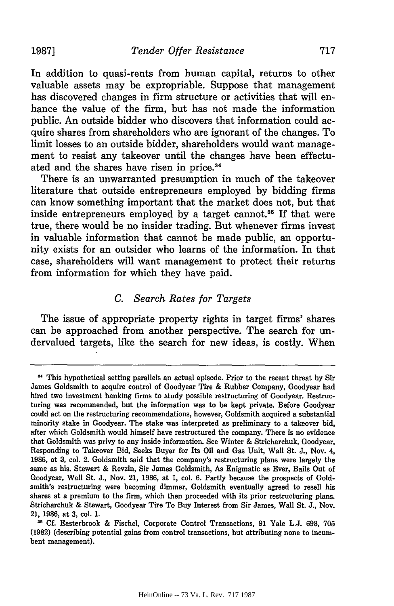In addition to quasi-rents from human capital, returns to other valuable assets may be expropriable. Suppose that management has discovered changes in firm structure or activities that will enhance the value of the firm, but has not made the information public. An outside bidder who discovers that information could acquire shares from shareholders who are ignorant of the changes. To limit losses to an outside bidder, shareholders would want management to resist any takeover until the changes have been effectuated and the shares have risen in price.<sup>34</sup>

There is an unwarranted presumption in much of the takeover literature that outside entrepreneurs employed **by** bidding firms can know something important that the market does not, but that inside entrepreneurs employed by a target cannot.<sup>35</sup> If that were true, there would be no insider trading. But whenever firms invest in valuable information that cannot be made public, an opportunity exists for an outsider who learns of the information. In that case, shareholders will want management to protect their returns from information for which they have paid.

## *C. Search Rates for Targets*

The issue of appropriate property rights in target firms' shares can be approached from another perspective. The search for undervalued targets, like the search for new ideas, is costly. When

**1987]**

<sup>&</sup>quot; This hypothetical setting parallels an actual episode. Prior to the recent threat **by** Sir James Goldsmith to acquire control of Goodyear Tire **&** Rubber Company, Goodyear had hired two investment banking firms to study possible restructuring of Goodyear. Restructuring was recommended, but the information was to be kept private. Before Goodyear could act on the restructuring recommendations, however, Goldsmith acquired a substantial minority stake in Goodyear. The stake was interpreted as preliminary to a takeover bid, after which Goldsmith would himself have restructured the company. There is no evidence that Goldsmith was privy to any inside information. See Winter **&** Stricharchuk, Goodyear, Responding to Takeover Bid, Seeks Buyer for Its Oil and Gas Unit, Wall St. **J.,** Nov. 4, **1986,** at **3,** col. 2. Goldsmith said that the company's restructuring plans were largely the same as his. Stewart **&** Revzin, Sir James Goldsmith, As Enigmatic as Ever, Bails Out of Goodyear, Wall St. **J.,** Nov. 21, **1986,** at **1,** col. **6.** Partly because the prospects of Goldsmith's restructuring were becoming dimmer, Goldsmith eventually agreed to resell his shares at a premium to the firm, which then proceeded with its prior restructuring plans. Stricharchuk **&** Stewart, Goodyear Tire To Buy Interest from Sir James, Wall St. **J.,** Nov. 21, **1986,** at **3,** col. **1.**

**<sup>35</sup> Cf.** Easterbrook **&** Fischel, Corporate Control Transactions, **91** Yale **L.J. 698, 705 (1982)** (describing potential gains from control transactions, but attributing none to incumbent management).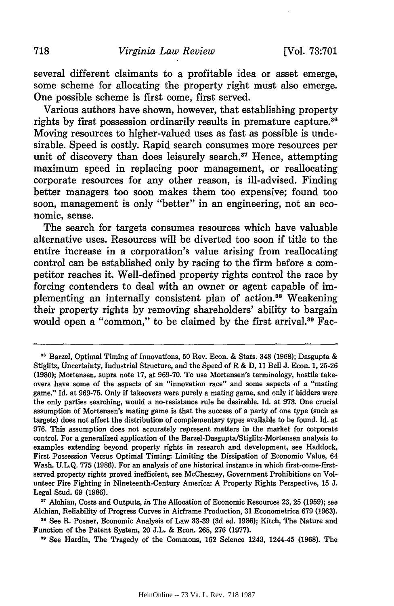several different claimants to a profitable idea or asset emerge, some scheme for allocating the property right must also emerge. One possible scheme is first come, first served.

Various authors have shown, however, that establishing property rights by first possession ordinarily results in premature capture.<sup>36</sup> Moving resources to higher-valued uses as fast as possible is undesirable. Speed is costly. Rapid search consumes more resources per unit of discovery than does leisurely search. $37$  Hence, attempting maximum speed in replacing poor management, or reallocating corporate resources for any other reason, is ill-advised. Finding better managers too soon makes them too expensive; found too soon, management is only "better" in an engineering, not an economic, sense.

The search for targets consumes resources which have valuable alternative uses. Resources will be diverted too soon if title to the entire increase in a corporation's value arising from reallocating control can be established only **by** racing to the firm before a competitor reaches it. Well-defined property rights control the race **by** forcing contenders to deal with an owner or agent capable of implementing an internally consistent plan of action.<sup>38</sup> Weakening their property rights **by** removing shareholders' ability to bargain would open a "common," to be claimed **by** the first arrival.39 Fac-

**<sup>38</sup>**See R. Posner, Economic Analysis of Law **33-39 (3d** ed. **1986);** Kitch, The Nature and Function of the Patent System, 20 **J.L. &** Econ. **265, 276 (1977).**

**<sup>36</sup>**Barzel, Optimal Timing of Innovations, **50** Rev. Econ. **&** Stats. 348 **(1968);** Dasgupta **&** Stiglitz, Uncertainty, Industrial Structure, and the Speed of R **& D, 11 Bell J.** Econ. **1, 25-26 (1980);** Mortensen, supra note **17,** at **969-70.** To use Mortensen's terminology, hostile takeovers have some of the aspects of an "innovation race" and some aspects of a "mating game." Id. at **969-75.** Only if takeovers were purely a mating game, and only if bidders were the only parties searching, would a no-resistance rule be desirable. Id. at **973.** One crucial assumption of Mortensen's mating game is that the success of a party of one type (such as targets) does not affect the distribution of complementary types available to be found. **Id.** at **976.** This assumption does not accurately represent matters in the market for corporate control. For a generalized application of the Barzel-Dasgupta/Stiglitz-Mortensen analysis to examples extending beyond property rights in research and development, see Haddock, First Possession Versus Optimal Timing: Limiting the Dissipation of Economic Value, 64 Wash. **U.L.Q. 775 (1986).** For an analysis of one historical instance in which first-come-firstserved property rights proved inefficient, see McChesney, Government Prohibitions on Volunteer Fire Fighting in Nineteenth-Century America: **A** Property Rights Perspective, **15** *J.* Legal Stud. **69 (1986).**

**<sup>37</sup>**Alchian, Costs and Outputs, *in* The Allocation of Economic Resources **23, 25 (1959);** see Alchian, Reliability of Progress Curves in Airframe Production, **31** Econometrica **679 (1963).**

**<sup>&</sup>quot;** See Hardin, The Tragedy of the Commons, **162** Science 1243, 1244-45 **(1968).** The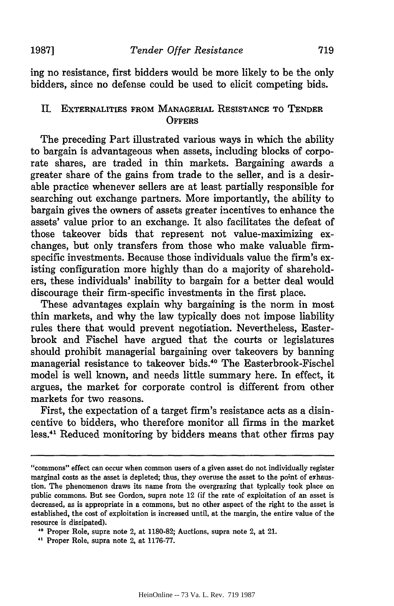ing no resistance, first bidders would be more likely to be the only bidders, since no defense could be used to elicit competing bids.

### II. EXTERNALITIES **FROM MANAGERIAL RESISTANCE TO TENDER OFFERS**

The preceding Part illustrated various ways in which the ability to bargain is advantageous when assets, including blocks of corporate shares, are traded in thin markets. Bargaining awards a greater share of the gains from trade to the seller, and is a desirable practice whenever sellers are at least partially responsible for searching out exchange partners. More importantly, the ability to bargain gives the owners of assets greater incentives to enhance the assets' value prior to an exchange. It also facilitates the defeat of those takeover bids that represent not value-maximizing exchanges, but only transfers from those who make valuable firmspecific investments. Because those individuals value the firm's existing configuration more highly than do a majority of shareholders, these individuals' inability to bargain for a better deal would discourage their firm-specific investments in the first place.

These advantages explain why bargaining is the norm in most thin markets, and why the law typically does not impose liability rules there that would prevent negotiation. Nevertheless, Easterbrook and Fischel have argued that the courts or legislatures should prohibit managerial bargaining over takeovers by banning managerial resistance to takeover bids.40 The Easterbrook-Fischel model is well known, and needs little summary here. In effect, it argues, the market for corporate control is different from other markets for two reasons.

First, the expectation of a target firm's resistance acts as a disincentive to bidders, who therefore monitor all firms in the market less.41 Reduced monitoring by bidders means that other firms pay

<sup>&</sup>quot;commons" effect can occur when common users of a given asset do not individually register marginal costs as the asset is depleted; thus, they overuse the asset to the point of exhaustion. The phenomenon draws its name from the overgrazing that typically took place on public commons. But see Gordon, supra note 12 (if the rate of exploitation of an asset is decreased, as is appropriate in a commons, but no other aspect of the right to the asset is established, the cost of exploitation is increased until, at the margin, the entire value of the resource is dissipated).

**<sup>40</sup>** Proper Role, supra note 2, at 1180-82; Auctions, supra note 2, at 21.

Proper Role, supra note 2, at 1176-77.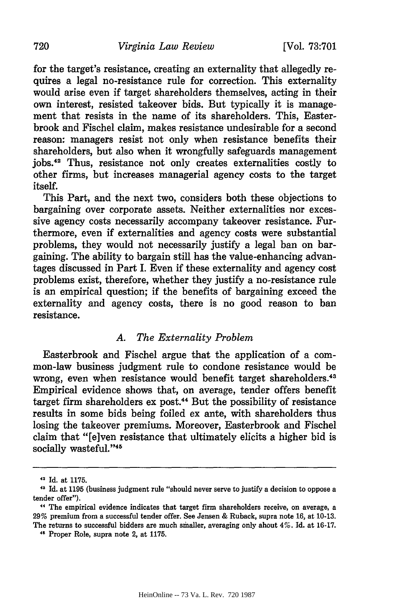for the target's resistance, creating an externality that allegedly requires a legal no-resistance rule for correction. This externality would arise even if target shareholders themselves, acting in their own interest, resisted takeover bids. But typically it is management that resists in the name of its shareholders. This, Easterbrook and Fischel claim, makes resistance undesirable for a second reason: managers resist not only when resistance benefits their shareholders, but also when it wrongfully safeguards management jobs.42 Thus, resistance not only creates externalities costly to other firms, but increases managerial agency costs to the target itself.

This Part, and the next two, considers both these objections to bargaining over corporate assets. Neither externalities nor excessive agency costs necessarily accompany takeover resistance. Furthermore, even if externalities and agency costs were substantial problems, they would not necessarily justify a legal ban on bargaining. The ability to bargain still has the value-enhancing advantages discussed in Part I. Even if these externality and agency cost problems exist, therefore, whether they justify a no-resistance rule is an empirical question; if the benefits of bargaining exceed the externality and agency costs, there is no good reason to ban resistance.

## *A. The Externality Problem*

Easterbrook and Fischel argue that the application of a common-law business judgment rule to condone resistance would be wrong, even when resistance would benefit target shareholders.<sup>43</sup> Empirical evidence shows that, on average, tender offers benefit target firm shareholders ex post.<sup>44</sup> But the possibility of resistance results in some bids being foiled ex ante, with shareholders thus losing the takeover premiums. Moreover, Easterbrook and Fischel claim that "[e]ven resistance that ultimately elicits a higher bid is socially wasteful."45

**<sup>42</sup>** Id. at 1175.

<sup>43</sup> Id. at 1195 (business judgment rule "should never serve to justify a decision to oppose a tender offer").

**<sup>4&#</sup>x27;** The empirical evidence indicates that target firm shareholders receive, on average, a 29% premium from a successful tender offer. See Jensen & Ruback, supra note 16, at 10-13. The returns to successful bidders are much smaller, averaging only about 4%. Id. at 16-17.

<sup>45</sup> Proper Role, supra note 2, at 1175.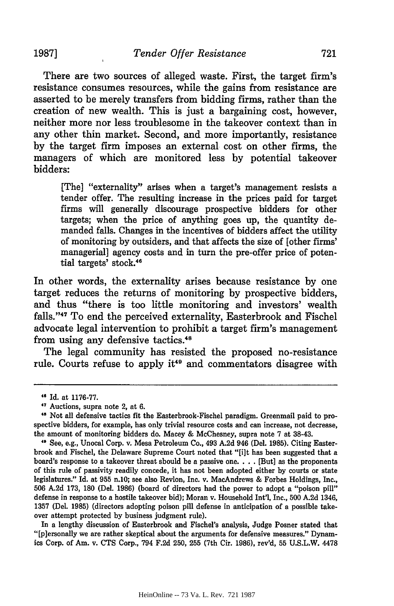There are two sources of alleged waste. First, the target firm's resistance consumes resources, while the gains from resistance are asserted to be merely transfers from bidding firms, rather than the creation of new wealth. This is just a bargaining cost, however, neither more nor less troublesome in the takeover context than in any other thin market. Second, and more importantly, resistance by the target firm imposes an external cost on other firms, the managers of which are monitored less by potential takeover bidders:

[The] "externality" arises when a target's management resists a tender offer. The resulting increase in the prices paid for target firms will generally discourage prospective bidders for other targets; when the price of anything goes up, the quantity demanded falls. Changes in the incentives of bidders affect the utility of monitoring by outsiders, and that affects the size of [other firms' managerial] agency costs and in turn the pre-offer price of potential targets' stock.<sup>46</sup>

In other words, the externality arises because resistance **by** one target reduces the returns of monitoring **by** prospective bidders, and thus "there is too little monitoring and investors' wealth falls. '47 To end the perceived externality, Easterbrook and Fischel advocate legal intervention to prohibit a target firm's management from using any defensive tactics.48

The legal community has resisted the proposed no-resistance rule. Courts refuse to apply it<sup>49</sup> and commentators disagree with

In a lengthy discussion of Easterbrook and Fischel's analysis, Judge Posner stated that "[p]ersonally we are rather skeptical about the arguments for defensive measures." Dynamics Corp. of Am. v. **CTS** Corp., 794 **F.2d 250, 255** (7th Cir. **1986),** rev'd, **55 U.S.L.W.** 4478

**1987]**

**<sup>41</sup>**Id. at **1176-77.**

<sup>47</sup> Auctions, supra note 2, at **6.** 4' Not all defensive tactics fit the Easterbrook-Fischel paradigm. Greenmail paid to prospective bidders, for example, has only trivial resource costs and can increase, not decrease, the amount of monitoring bidders do. Macey & McChesney, supra note **7** at **38-43.**

**<sup>&</sup>quot;** See, e.g., Unocal Corp. v. Mesa Petroleum Co., 493 **A.2d** 946 (Del. **1985).** Citing Easterbrook and Fischel, the Delaware Supreme Court noted that **"[i]t** has been suggested that a board's response to a takeover threat should be a passive one **....** [But] as the proponents of this rule of passivity readily concede, it has not been adopted either **by** courts or state legislatures." Id. at **955** n.10; see also Revlon, Inc. v. MacAndrews & Forbes Holdings, Inc., **506 A.2d 173, 180** (Del. **1986)** (board of directors had the power to adopt a "poison **pill"** defense in response to a hostile takeover bid); Moran v. Household Int'l, Inc., **500 A.2d** 1346, **1357** (Del. **1985)** (directors adopting poison pill defense in anticipation of a possible takeover attempt protected **by** business judgment rule).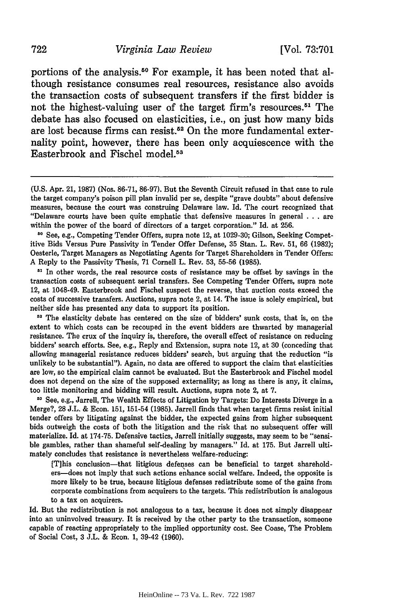portions of the analysis.<sup>50</sup> For example, it has been noted that although resistance consumes real resources, resistance also avoids the transaction costs of subsequent transfers if the first bidder is not the highest-valuing user of the target firm's resources.<sup>51</sup> The debate has also focused on elasticities, i.e., on just how many bids are lost because firms can resist.<sup>52</sup> On the more fundamental externality point, however, there has been only acquiescence with the Easterbrook and Fischel model.<sup>53</sup>

**50** See, e.g., Competing Tender Offers, supra note 12, at **1029-30;** Gilson, Seeking Competitive Bids Versus Pure Passivity in Tender Offer Defense, **35** Stan. L. Rev. **51, 66 (1982);** Oesterle, Target Managers as Negotiating Agents for Target Shareholders in Tender Offers: **A** Reply to the Passivity Thesis, **71** Cornell L. Rev. **53, 55-56 (1985).**

<sup>51</sup> In other words, the real resource costs of resistance may be offset by savings in the transaction costs of subsequent serial transfers. See Competing Tender Offers, supra note 12, at 1048-49. Easterbrook and Fischel suspect the reverse, that auction costs exceed the costs of successive transfers. Auctions, supra note 2, at 14. The issue is solely empirical, but neither side has presented any data to support its position.

<sup>52</sup> The elasticity debate has centered on the size of bidders' sunk costs, that is, on the extent to which costs can be recouped in the event bidders are thwarted **by** managerial resistance. The crux of the inquiry is, therefore, the overall effect of resistance on reducing bidders' search efforts. See, e.g., Reply and Extension, supra note 12, at **30** (conceding that allowing managerial resistance reduces bidders' search, but arguing that the reduction "is unlikely to be substantial"). Again, no data are offered to support the claim that elasticities are low, so the empirical claim cannot be evaluated. But the Easterbrook and Fischel model does not depend on the size of the supposed externality; as long as there is any, it claims, too little monitoring and bidding will result. Auctions, supra note 2, at **7.**

**"I** See, e.g., Jarrell, The Wealth Effects of Litigation **by** Targets: Do Interests Diverge in a Merge?, **28 J.L. &** Econ. **151,** 151-54 **(1985).** Jarrell finds that when target firms resist initial tender offers **by** litigating against the bidder, the expected gains from higher subsequent bids outweigh the costs of both the litigation and the risk that no subsequent offer will materialize. Id. at **174-75.** Defensive tactics, Jarrell initially suggests, may seem to be "sensible gambles, rather than shameful self-dealing **by** managers." Id. at **175.** But Jarrell ultimately concludes that resistance is nevertheless welfare-reducing:

[T]his conclusion-that litigious defenses can be beneficial to target shareholders-does not imply that such actions enhance social welfare. Indeed, the opposite is more likely to be true, because litigious defenses redistribute some of the gains from corporate combinations from acquirers to the targets. This redistribution is analogous to a tax on acquirers.

Id. But the redistribution is not analogous to a tax, because it does not simply disappear into an uninvolved treasury. It is received **by** the other party to the transaction, someone capable of reacting appropriately to the implied opportunity cost. See Coase, The Problem of Social Cost, 3 **J.L.** & Econ. **1,** 39-42 **(1960).**

<sup>(</sup>U.S. Apr. 21, 1987) (Nos. 86-71, 86-97). But the Seventh Circuit refused in that case to rule the target company's poison pill plan invalid per se, despite "grave doubts" about defensive measures, because the court was construing Delaware law. **Id.** The court recognized that "Delaware courts have been quite emphatic that defensive measures in general **. . .** are within the power of the board of directors of a target corporation." Id. at **256.**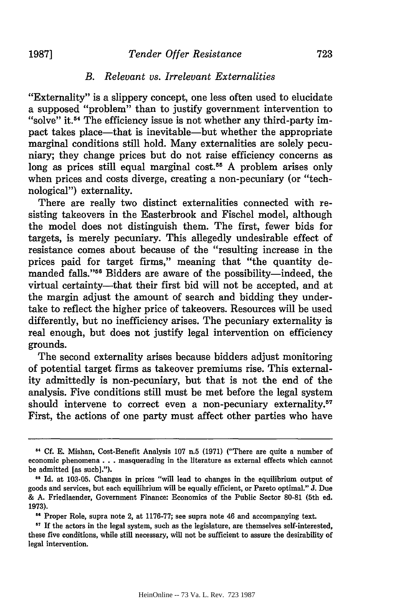# *Tender Offer Resistance* **1987] 723**

### *B. Relevant vs. Irrelevant Externalities*

"Externality" is a slippery concept, one less often used to elucidate a supposed "problem" than to justify government intervention to "solve" it. 54 The efficiency issue is not whether any third-party impact takes place-that is inevitable-but whether the appropriate marginal conditions still hold. Many externalities are solely pecuniary; they change prices but do not raise efficiency concerns as long as prices still equal marginal cost.<sup>55</sup> A problem arises only when prices and costs diverge, creating a non-pecuniary (or "technological") externality.

There are really two distinct externalities connected with resisting takeovers in the Easterbrook and Fischel model, although the model does not distinguish them. The first, fewer bids for targets, is merely pecuniary. This allegedly undesirable effect of resistance comes about because of the "resulting increase in the prices paid for target firms," meaning that "the quantity demanded falls."<sup>56</sup> Bidders are aware of the possibility—indeed, the virtual certainty-that their first bid will not be accepted, and at the margin adjust the amount of search and bidding they undertake to reflect the higher price of takeovers. Resources will be used differently, but no inefficiency arises. The pecuniary externality is real enough, but does not justify legal intervention on efficiency grounds.

The second externality arises because bidders adjust monitoring of potential target firms as takeover premiums rise. This externality admittedly is non-pecuniary, but that is not the end of the analysis. Five conditions still must be met before the legal system should intervene to correct even a non-pecuniary externality.<sup>57</sup> First, the actions of one party must affect other parties who have

<sup>4</sup>**Cf. E.** Mishan, Cost-Benefit Analysis **107** n.5 **(1971)** ("There are quite a number of economic phenomena **. . .** masquerading in the literature as external effects which cannot be admitted [as such].").

**<sup>11</sup> Id.** at **103-05.** Changes in prices "will lead to changes in the equilibrium output of goods and services, but each equilibrium will be equally efficient, or Pareto optimal." **J.** Due & **A.** Friedlaender, Government Finance: Economics of the Public Sector **80-81** (5th ed. **1973).**

**<sup>5&#</sup>x27;** Proper Role, supra note 2, at **1176-77;** see supra note 46 and accompanying text.

**<sup>57</sup>**If the actors in the legal system, such as the legislature, are themselves self-interested, these five conditions, while still necessary, will not be sufficient to assure the desirability of legal intervention.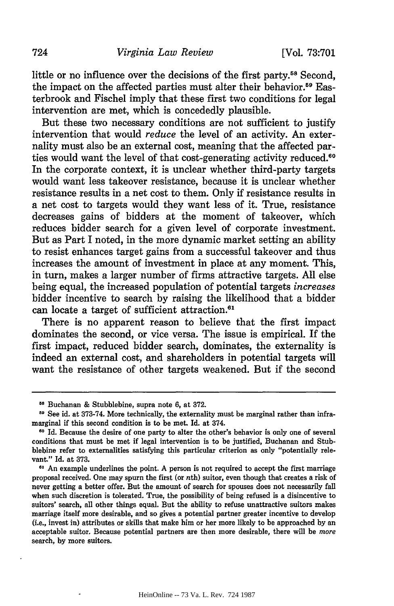little or no influence over the decisions of the first party.<sup>58</sup> Second, the impact on the affected parties must alter their behavior.<sup>59</sup> Easterbrook and Fischel imply that these first two conditions for legal intervention are met, which is concededly plausible.

But these two necessary conditions are not sufficient to justify intervention that would *reduce* the level of an activity. An externality must also be an external cost, meaning that the affected parties would want the level of that cost-generating activity reduced.<sup>60</sup> In the corporate context, it is unclear whether third-party targets would want less takeover resistance, because it is unclear whether resistance results in a net cost to them. Only if resistance results in a net cost to targets would they want less of it. True, resistance decreases gains of bidders at the moment of takeover, which reduces bidder search for a given level of corporate investment. But as Part I noted, in the more dynamic market setting an ability to resist enhances target gains from a successful takeover and thus increases the amount of investment in place at any moment. This, in turn, makes a larger number of firms attractive targets. All else being equal, the increased population of potential targets *increases* bidder incentive to search by raising the likelihood that a bidder can locate a target of sufficient attraction.<sup>61</sup>

There is no apparent reason to believe that the first impact dominates the second, or vice versa. The issue is empirical. If the first impact, reduced bidder search, dominates, the externality is indeed an external cost, and shareholders in potential targets will want the resistance of other targets weakened. But if the second

Buchanan & Stubblebine, supra note 6, at 372.

<sup>&</sup>lt;sup>59</sup> See id. at 373-74. More technically, the externality must be marginal rather than inframarginal if this second condition is to be met. Id. at 374.

**<sup>60</sup>**Id. Because the desire of one party to alter the other's behavior is only one of several conditions that must be met if legal intervention is to be justified, Buchanan and Stubblebine refer to externalities satisfying this particular criterion as only "potentially relevant." Id. at **373.**

**<sup>&</sup>quot;!** An example underlines the point. **A** person is not required to accept the first marriage proposal received. One may spurn the first (or nth) suitor, even though that creates a risk of never getting a better offer. But the amount of search for spouses does not necessarily fall when such discretion is tolerated. True, the possibility of being refused is a disincentive to suitors' search, all other things equal. But the ability to refuse unattractive suitors makes marriage itself more desirable, and so gives a potential partner greater incentive to develop (i.e., invest in) attributes or skills that make him or her more likely to be approached **by** an acceptable suitor. Because potential partners are then more desirable, there will be *more* search, **by** more suitors.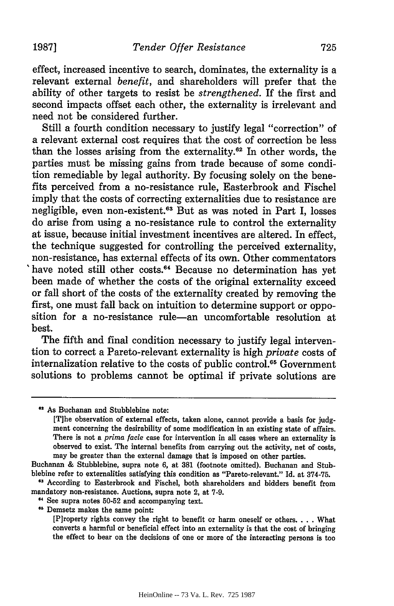**1987]**

effect, increased incentive to search, dominates, the externality is a relevant external *benefit,* and shareholders will prefer that the ability of other targets to resist be *strengthened.* If the first and second impacts offset each other, the externality is irrelevant and need not be considered further.

Still a fourth condition necessary to justify legal "correction" of a relevant external cost requires that the cost of correction be less than the losses arising from the externality.62 In other words, the parties must be missing gains from trade because of some condition remediable by legal authority. By focusing solely on the benefits perceived from a no-resistance rule, Easterbrook and Fischel imply that the costs of correcting externalities due to resistance are negligible, even non-existent.<sup>63</sup> But as was noted in Part I, losses do arise from using a no-resistance rule to control the externality at issue, because initial investment incentives are altered. In effect, the technique suggested for controlling the perceived externality, non-resistance, has external effects of its own. Other commentators have noted still other costs.<sup>64</sup> Because no determination has yet been made of whether the costs of the original externality exceed or fall short of the costs of the externality created by removing the first, one must fall back on intuition to determine support or opposition for a no-resistance rule—an uncomfortable resolution at best.

The fifth and final condition necessary to justify legal intervention to correct a Pareto-relevant externality is high *private* costs of internalization relative to the costs of public control.<sup>65</sup> Government solutions to problems cannot be optimal if private solutions are

<sup>&</sup>lt;sup>62</sup> As Buchanan and Stubblebine note:

<sup>[</sup>T]he observation of external effects, taken alone, cannot provide a basis for judgment concerning the desirability of some modification in an existing state of affairs. There is not a *prima facie* case for intervention in all cases where an externality is observed to exist. The internal benefits from carrying out the activity, net of costs, may be greater than the external damage that is imposed on other parties.

Buchanan **&** Stubblebine, supra note **6,** at **381** (footnote omitted). Buchanan and Stubblebine refer to externalities satisfying this condition as "Pareto-relevant." Id. at **374-75.**

<sup>&</sup>lt;sup>63</sup> According to Easterbrook and Fischel, both shareholders and bidders benefit from mandatory non-resistance. Auctions, supra note 2, at **7-9.**

See supra notes **50-52** and accompanying text.

<sup>&#</sup>x27; Demsetz makes the same point:

<sup>[</sup>Piroperty rights convey the right to benefit or harm oneself or others **....** What converts a harmful or beneficial effect into an externality is that the cost of bringing the effect to bear on the decisions of one or more of the interacting persons is too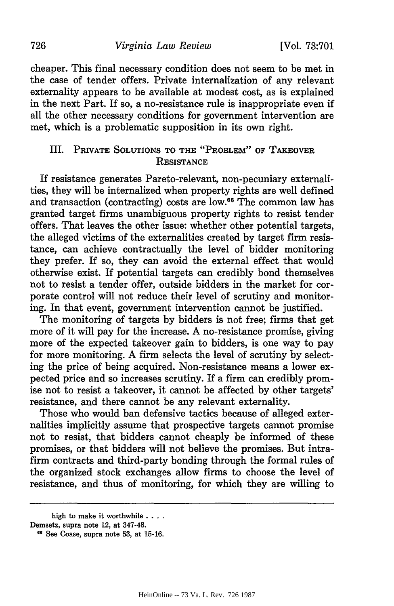cheaper. This final necessary condition does not seem to be met in the case of tender offers. Private internalization of any relevant externality appears to be available at modest cost, as is explained in the next Part. If so, a no-resistance rule is inappropriate even if all the other necessary conditions for government intervention are met, which is a problematic supposition in its own right.

# III. PRIVATE **SOLUTIONS** TO THE "PROBLEM" OF TAKEOVER **RESISTANCE**

If resistance generates Pareto-relevant, non-pecuniary externalities, they will be internalized when property rights are well defined and transaction (contracting) costs are low.<sup>66</sup> The common law has granted target firms unambiguous property rights to resist tender offers. That leaves the other issue: whether other potential targets, the alleged victims of the externalities created **by** target firm resistance, can achieve contractually the level of bidder monitoring they prefer. If so, they can avoid the external effect that would otherwise exist. If potential targets can credibly bond themselves not to resist a tender offer, outside bidders in the market for corporate control will not reduce their level of scrutiny and monitoring. In that event, government intervention cannot be justified.

The monitoring of targets **by** bidders is not free; firms that get more of it will pay for the increase. A no-resistance promise, giving more of the expected takeover gain to bidders, is one way to pay for more monitoring. A firm selects the level of scrutiny **by** selecting the price of being acquired. Non-resistance means a lower expected price and so increases scrutiny. If a firm can credibly promise not to resist a takeover, it cannot be affected **by** other targets' resistance, and there cannot be any relevant externality.

Those who would ban defensive tactics because of alleged externalities implicitly assume that prospective targets cannot promise not to resist, that bidders cannot cheaply be informed of these promises, or that bidders will not believe the promises. But intrafirm contracts and third-party bonding through the formal rules of the organized stock exchanges allow firms to choose the level of resistance, and thus of monitoring, for which they are willing to

726

high to make it worthwhile ....

Demsetz, supra note 12, at 347-48.

**<sup>&</sup>quot;** See Coase, supra note **53,** at **15-16.**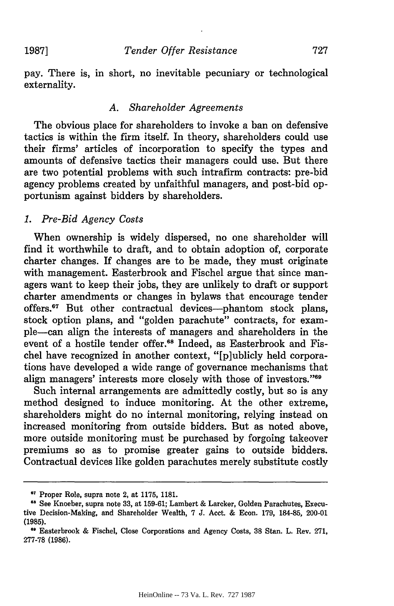pay. There is, in short, no inevitable pecuniary or technological externality.

# *A. Shareholder Agreements*

The obvious place for shareholders to invoke a ban on defensive tactics is within the firm itself. In theory, shareholders could use their firms' articles of incorporation to specify the types and amounts of defensive tactics their managers could use. But there are two potential problems with such intrafirm contracts: pre-bid agency problems created by unfaithful managers, and post-bid opportunism against bidders by shareholders.

# *1. Pre-Bid Agency Costs*

When ownership is widely dispersed, no one shareholder will find it worthwhile to draft, and to obtain adoption of, corporate charter changes. If changes are to be made, they must originate with management. Easterbrook and Fischel argue that since managers want to keep their jobs, they are unlikely to draft or support charter amendments or changes in bylaws that encourage tender offers.67 But other contractual devices-phantom stock plans, stock option plans, and "golden parachute" contracts, for example-can align the interests of managers and shareholders in the event of a hostile tender offer.<sup>68</sup> Indeed, as Easterbrook and Fischel have recognized in another context, "[p]ublicly held corporations have developed a wide range of governance mechanisms that align managers' interests more closely with those of investors."<sup>69</sup>

Such internal arrangements are admittedly costly, but so is any method designed to induce monitoring. At the other extreme, shareholders might do no internal monitoring, relying instead on increased monitoring from outside bidders. But as noted above, more outside monitoring must be purchased by forgoing takeover premiums so as to promise greater gains to outside bidders. Contractual devices like golden parachutes merely substitute costly

**<sup>&#</sup>x27;7** Proper Role, supra note 2, at **1175, 1181.**

**<sup>&</sup>quot;8** See Knoeber, supra note 33, at 159-61; Lambert & Larcker, Golden Parachutes, Executive Decision-Making, and Shareholder Wealth, 7 J. Acct. & Econ. 179, 184-85, 200-01 (1985).

**<sup>&</sup>quot;** Easterbrook & Fischel, Close Corporations and Agency Costs, **38** Stan. L. Rev. 271, 277-78 (1986).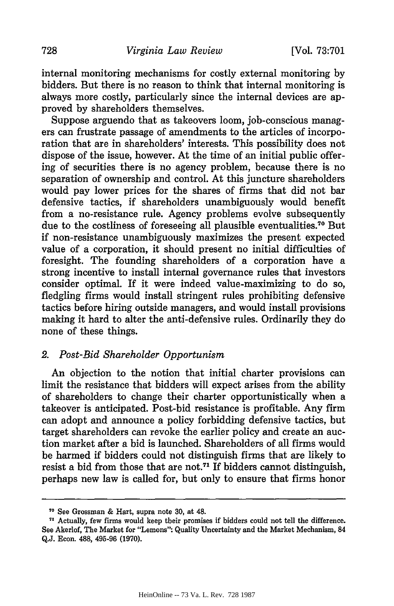internal monitoring mechanisms for costly external monitoring by bidders. But there is no reason to think that internal monitoring is always more costly, particularly since the internal devices are approved by shareholders themselves.

Suppose arguendo that as takeovers loom, job-conscious managers can frustrate passage of amendments to the articles of incorporation that are in shareholders' interests. This possibility does not dispose of the issue, however. At the time of an initial public offering of securities there is no agency problem, because there is no separation of ownership and control. At this juncture shareholders would pay lower prices for the shares of firms that did not bar defensive tactics, if shareholders unambiguously would benefit from a no-resistance rule. Agency problems evolve subsequently due to the costliness of foreseeing all plausible eventualities.70 But if non-resistance unambiguously maximizes the present expected value of a corporation, it should present no initial difficulties of foresight. The founding shareholders of a corporation have a strong incentive to install internal governance rules that investors consider optimal. If it were indeed value-maximizing to do so, fledgling firms would install stringent rules prohibiting defensive tactics before hiring outside managers, and would install provisions making it hard to alter the anti-defensive rules. Ordinarily they do none of these things.

### *2. Post-Bid Shareholder Opportunism*

An objection to the notion that initial charter provisions can limit the resistance that bidders will expect arises from the ability of shareholders to change their charter opportunistically when a takeover is anticipated. Post-bid resistance is profitable. Any firm can adopt and announce a policy forbidding defensive tactics, but target shareholders can revoke the earlier policy and create an auction market after a bid is launched. Shareholders of all firms would be harmed if bidders could not distinguish firms that are likely to resist a bid from those that are not.<sup>71</sup> If bidders cannot distinguish, perhaps new law is called for, but only to ensure that firms honor

**<sup>70</sup>**See Grossman & Hart, supra note **30,** at 48.

**<sup>71</sup>**Actually, few firms would keep their promises if bidders could not tell the difference. See Akerlof, The Market for "Lemons": Quality Uncertainty and the Market Mechanism, 84 Q.J. Econ. 488, 495-96 (1970).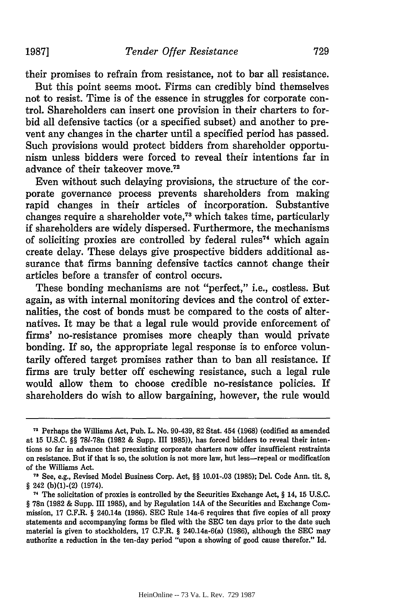their promises to refrain from resistance, not to bar all resistance.

But this point seems moot. Firms can credibly bind themselves not to resist. Time is of the essence in struggles for corporate control. Shareholders can insert one provision in their charters to forbid all defensive tactics (or a specified subset) and another to prevent any changes in the charter until a specified period has passed. Such provisions would protect bidders from shareholder opportunism unless bidders were forced to reveal their intentions far in advance of their takeover move.72

Even without such delaying provisions, the structure of the corporate governance process prevents shareholders from making rapid changes in their articles of incorporation. Substantive changes require a shareholder vote,73 which takes time, particularly if shareholders are widely dispersed. Furthermore, the mechanisms of soliciting proxies are controlled by federal rules<sup>74</sup> which again create delay. These delays give prospective bidders additional assurance that firms banning defensive tactics cannot change their articles before a transfer of control occurs.

These bonding mechanisms are not "perfect," i.e., costless. But again, as with internal monitoring devices and the control of externalities, the cost of bonds must be compared to the costs of alternatives. It may be that a legal rule would provide enforcement of firms' no-resistance promises more cheaply than would private bonding. If so, the appropriate legal response is to enforce voluntarily offered target promises rather than to ban all resistance. If firms are truly better off eschewing resistance, such a legal rule would allow them to choose credible no-resistance policies. If shareholders do wish to allow bargaining, however, the rule would

**<sup>7&#</sup>x27;** Perhaps the Williams Act, Pub. L. No. 90-439, 82 Stat. 454 (1968) (codified as amended at 15 U.S.C. §§ 781-78n (1982 & Supp. III 1985)), has forced bidders to reveal their intentions so far in advance that preexisting corporate charters now offer insufficient restraints on resistance. But if that is so, the solution is not more law, but less-repeal or modification of the Williams Act.

**<sup>73</sup>**See, e.g., Revised Model Business Corp. Act, §§ 10.01-.03 (1985); Del. Code Ann. tit. 8, *§* 242 (b)(1)-(2) (1974).

**<sup>7&#</sup>x27;** The solicitation of proxies is controlled by the Securities Exchange Act, § 14, 15 U.S.C. *§* 78n (1982 & Supp. III 1985), and by Regulation 14A of the Securities and Exchange Commission, 17 C.F.R. § 240.14a (1986). SEC Rule 14a-6 requires that five copies of all proxy statements and accompanying forms be filed with the SEC ten days prior to the date such material is given to stockholders, 17 C.F.R. § 240.14a-6(a) (1986), although the **SEC** may authorize a reduction in the ten-day period "upon a showing of good cause therefor." Id.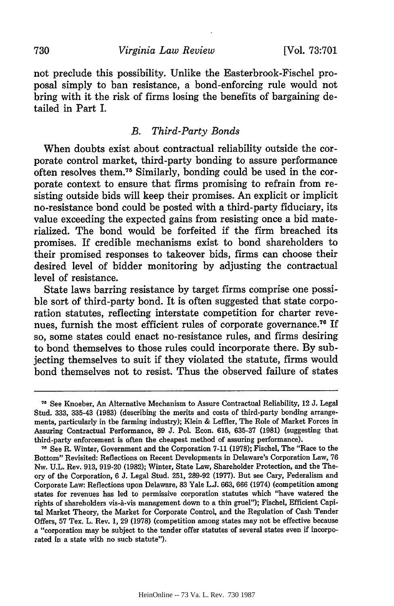not preclude this possibility. Unlike the Easterbrook-Fischel proposal simply to ban resistance, a bond-enforcing rule would not bring with it the risk of firms losing the benefits of bargaining detailed in Part I.

### *B. Third-Party Bonds*

When doubts exist about contractual reliability outside the corporate control market, third-party bonding to assure performance often resolves them.<sup>75</sup> Similarly, bonding could be used in the corporate context to ensure that firms promising to refrain from resisting outside bids will keep their promises. An explicit or implicit no-resistance bond could be posted with a third-party fiduciary, its value exceeding the expected gains from resisting once a bid materialized. The bond would be forfeited if the firm breached its promises. If credible mechanisms exist to bond shareholders to their promised responses to takeover bids, firms can choose their desired level of bidder monitoring by adjusting the contractual level of resistance.

State laws barring resistance by target firms comprise one possible sort of third-party bond. It is often suggested that state corporation statutes, reflecting interstate competition for charter revenues, furnish the most efficient rules of corporate governance.<sup>76</sup> If so, some states could enact no-resistance rules, and firms desiring to bond themselves to those rules could incorporate there. By subjecting themselves to suit if they violated the statute, firms would bond themselves not to resist. Thus the observed failure of states

**<sup>75</sup>**See Knoeber, An Alternative Mechanism to Assure Contractual Reliability, 12 **J.** Legal Stud. 333, 335-43 (1983) (describing the merits and costs of third-party bonding arrangements, particularly in the farming industry); Klein & Leffler, The Role of Market Forces in Assuring Contractual Performance, 89 J. Pol. Econ. 615, 635-37 (1981) (suggesting that third-party enforcement is often the cheapest method of assuring performance).

**<sup>7&#</sup>x27;** See R. Winter, Government and the Corporation 7-11 (1978); Fischel, The "Race to the Bottom" Revisited: Reflections on Recent Developments in Delaware's Corporation Law, 76 Nw. U.L. Rev. 913, 919-20 (1982); Winter, State Law, Shareholder Protection, and the Theory of the Corporation, 6 J. Legal Stud. 251, 289-92 (1977). But see Cary, Federalism and Corporate Law: Reflections upon Delaware, 83 Yale L.J. 663, 666 (1974) (competition among states for revenues has led to permissive corporation statutes which "have watered the rights of shareholders vis-à-vis management down to a thin gruel"); Fischel, Efficient Capital Market Theory, the Market for Corporate Control, and the Regulation of Cash Tender Offers, **57** Tex. L. Rev. **1, 29 (1978)** (competition among states may not be effective because a "corporation may be subject to the tender offer statutes of several states even if incorporated in a state with no such statute").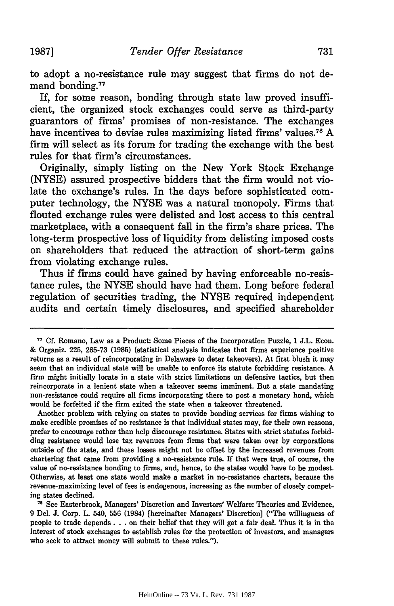to adopt a no-resistance rule may suggest that firms do not demand bonding.<sup>77</sup>

If, for some reason, bonding through state law proved insufficient, the organized stock exchanges could serve as third-party guarantors of firms' promises of non-resistance. The exchanges have incentives to devise rules maximizing listed firms' values.<sup>78</sup> A firm will select as its forum for trading the exchange with the best rules for that firm's circumstances.

Originally, simply listing on the New York Stock Exchange (NYSE) assured prospective bidders that the firm would not violate the exchange's rules. In the days before sophisticated computer technology, the NYSE was a natural monopoly. Firms that flouted exchange rules were delisted and lost access to this central marketplace, with a consequent fall in the firm's share prices. The long-term prospective loss of liquidity from delisting imposed costs on shareholders that reduced the attraction of short-term gains from violating exchange rules.

Thus if firms could have gained by having enforceable no-resistance rules, the NYSE should have had them. Long before federal regulation of securities trading, the NYSE required independent audits and certain timely disclosures, and specified shareholder

**<sup>17</sup>**Cf. Romano, Law as a Product: Some Pieces of the Incorporation Puzzle, 1 J.L. Econ. & Organiz. 225, 265-73 (1985) (statistical analysis indicates that firms experience positive returns as a result of reincorporating in Delaware to deter takeovers). At first blush it may seem that an individual state will be unable to enforce its statute forbidding resistance. A firm might initially locate in a state with strict limitations on defensive tactics, but then reincorporate in a lenient state when a takeover seems imminent. But a state mandating non-resistance could require all firms incorporating there to post a monetary bond, which would be forfeited if the firm exited the state when a takeover threatened.

Another problem with relying on states to provide bonding services for firms wishing to make credible promises of no resistance is that individual states may, for their own reasons, prefer to encourage rather than help discourage resistance. States with strict statutes forbidding resistance would lose tax revenues from firms that were taken over by corporations outside of the state, and these losses might not be offset by the increased revenues from chartering that came from providing a no-resistance rule. If that were true, of course, the value of no-resistance bonding to firms, and, hence, to the states would have to be modest. Otherwise, at least one state would make a market in no-resistance charters, because the revenue-maximizing level of fees is endogenous, increasing as the number of closely competing states declined.

**<sup>7&#</sup>x27;** See Easterbrook, Managers' Discretion and Investors' Welfare: Theories and Evidence, **9** Del. **J.** Corp. L. 540, **556** (1984) [hereinafter Managers' Discretion] ("The willingness of people to trade depends **. . .** on their belief that they will get a fair deal. Thus it is in the interest of stock exchanges to establish rules for the protection of investors, and managers who seek to attract money will submit to these rules.").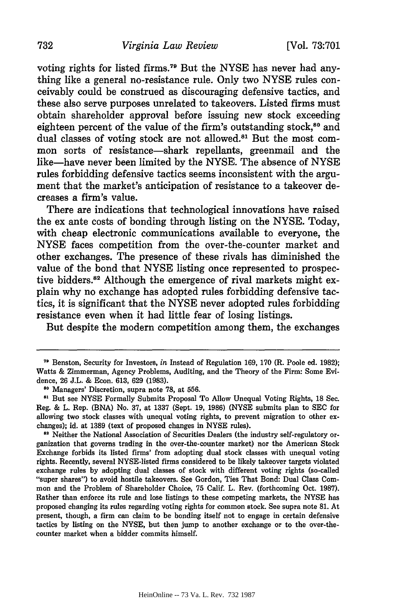voting rights for listed firms. 79 But the **NYSE** has never had anything like a general no-resistance rule. Only two **NYSE** rules conceivably could be construed as discouraging defensive tactics, and these also serve purposes unrelated to takeovers. Listed firms must obtain shareholder approval before issuing new stock exceeding eighteen percent of the value of the firm's outstanding stock, $80$  and dual classes of voting stock are not allowed.<sup>81</sup> But the most common sorts of resistance—shark repellants, greenmail and the like-have never been limited **by** the **NYSE.** The absence of **NYSE** rules forbidding defensive tactics seems inconsistent with the argument that the market's anticipation of resistance to a takeover decreases a firm's value.

There are indications that technological innovations have raised the ex ante costs of bonding through listing on the **NYSE.** Today, with cheap electronic communications available to everyone, the **NYSE** faces competition from the over-the-counter market and other exchanges. The presence of these rivals has diminished the value of the bond that **NYSE** listing once represented to prospective bidders.<sup>82</sup> Although the emergence of rival markets might explain why no exchange has adopted rules forbidding defensive tactics, it is significant that the **NYSE** never adopted rules forbidding resistance even when it had little fear of losing listings.

But despite the modern competition among them, the exchanges

**<sup>&</sup>quot;** Benston, Security for Investors, *in* Instead of Regulation **169, 170** (R. Poole ed. **1982);** Watts **&** Zimmerman, Agency Problems, Auditing, and the Theory of the Firm: Some Evidence, **26 J.L. &** Econ. **613, 629 (1983).**

**<sup>80</sup>** Managers' Discretion, supra note **78,** at **556.**

**<sup>81</sup>** But see **NYSE** Formally Submits Proposal To Allow Unequal Voting Rights, **18** Sec. Reg. **&** L. Rep. **(BNA)** No. **37,** at **1337** (Sept. **19, 1986) (NYSE** submits plan to **SEC** for allowing two stock classes with unequal voting rights, to prevent migration to other exchanges); id. at **1389** (text of proposed changes in **NYSE** rules).

**<sup>82</sup>** Neither the National Association of Securities Dealers (the industry self-regulatory organization that governs trading in the over-the-counter market) nor the American Stock Exchange forbids its listed firms' from adopting dual stock classes with unequal voting rights. Recently, several NYSE-listed firms considered to be likely takeover targets violated exchange rules **by** adopting dual classes of stock with different voting rights (so-called "super shares") to avoid hostile takeovers. See Gordon, Ties That Bond: Dual Class Common and the Problem of Shareholder Choice, **75** Calif. L. Rev. (forthcoming Oct. **1987).** Rather than enforce its rule and lose listings to these competing markets, the **NYSE** has proposed changing its rules regarding voting rights for common stock. See supra note **81.** At present, though, a firm can claim to be bonding itself not to engage in certain defensive tactics **by** listing on the **NYSE,** but then jump to another exchange or to the over-thecounter market when a bidder commits himself.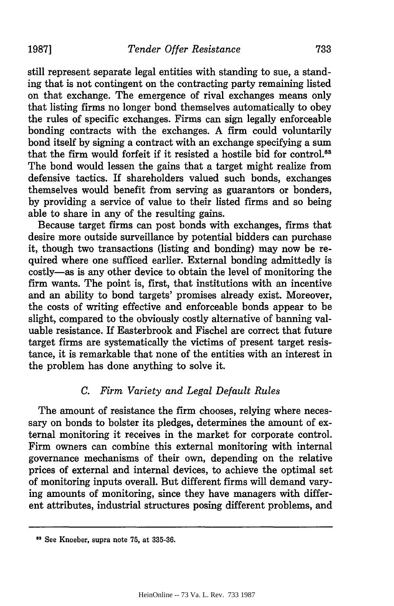still represent separate legal entities with standing to sue, a standing that is not contingent on the contracting party remaining listed on that exchange. The emergence of rival exchanges means only that listing firms no longer bond themselves automatically to obey the rules of specific exchanges. Firms can sign legally enforceable bonding contracts with the exchanges. A firm could voluntarily bond itself by signing a contract with an exchange specifying a sum that the firm would forfeit if it resisted a hostile bid for control.<sup>83</sup> The bond would lessen the gains that a target might realize from defensive tactics. If shareholders valued such bonds, exchanges themselves would benefit from serving as guarantors or bonders, by providing a service of value to their listed firms and so being able to share in any of the resulting gains.

Because target firms can post bonds with exchanges, firms that desire more outside surveillance by potential bidders can purchase it, though two transactions (listing and bonding) may now be required where one sufficed earlier. External bonding admittedly is costly-as is any other device to obtain the level of monitoring the firm wants. The point is, first, that institutions with an incentive and an ability to bond targets' promises already exist. Moreover, the costs of writing effective and enforceable bonds appear to be slight, compared to the obviously costly alternative of banning valuable resistance. If Easterbrook and Fischel are correct that future target firms are systematically the victims of present target resistance, it is remarkable that none of the entities with an interest in the problem has done anything to solve it.

## *C. Firm Variety and Legal Default Rules*

The amount of resistance the firm chooses, relying where necessary on bonds to bolster its pledges, determines the amount of external monitoring it receives in the market for corporate control. Firm owners can combine this external monitoring with internal governance mechanisms of their own, depending on the relative prices of external and internal devices, to achieve the optimal set of monitoring inputs overall. But different firms will demand varying amounts of monitoring, since they have managers with different attributes, industrial structures posing different problems, and

**1987]**

**<sup>83</sup>**See Knoeber, supra note **75,** at **335-36.**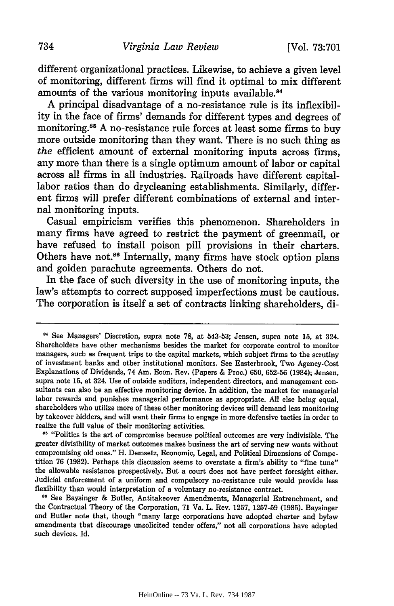different organizational practices. Likewise, to achieve a given level of monitoring, different firms will find it optimal to mix different amounts of the various monitoring inputs available.<sup>84</sup>

A principal disadvantage of a no-resistance rule is its inflexibility in the face of firms' demands for different types and degrees of monitoring.<sup>85</sup> A no-resistance rule forces at least some firms to buy more outside monitoring than they want. There is no such thing as *the* efficient amount of external monitoring inputs across firms, any more than there is a single optimum amount of labor or capital across all firms in all industries. Railroads have different capitallabor ratios than do drycleaning establishments. Similarly, different firms will prefer different combinations of external and internal monitoring inputs.

Casual empiricism verifies this phenomenon. Shareholders in many firms have agreed to restrict the payment of greenmail, or have refused to install poison pill provisions in their charters. Others have not.<sup>86</sup> Internally, many firms have stock option plans and golden parachute agreements. Others do not.

In the face of such diversity in the use of monitoring inputs, the law's attempts to correct supposed imperfections must be cautious. The corporation is itself a set of contracts linking shareholders, di-

<sup>84</sup> See Managers' Discretion, supra note 78, at 543-53; Jensen, supra note 15, at 324. Shareholders have other mechanisms besides the market for corporate control to monitor managers, such as frequent trips to the capital markets, which subject firms to the scrutiny of investment banks and other institutional monitors. See Easterbrook, Two Agency-Cost Explanations of Dividends, 74 Am. Econ. Rev. (Papers & Proc.) 650, 652-56 (1984); Jensen, supra note 15, at 324. Use of outside auditors, independent directors, and management consultants can also be an effective monitoring device. In addition, the market for managerial labor rewards and punishes managerial performance as appropriate. All else being equal, shareholders who utilize more of these other monitoring devices will demand less monitoring by takeover bidders, and will want their firms to engage in more defensive tactics in order to realize the full value of their monitoring activities.

**<sup>81</sup>** "Politics is the art of compromise because political outcomes are very indivisible. The greater divisibility of market outcomes makes business the art of serving new wants without compromising old ones." H. Demsetz, Economic, Legal, and Political Dimensions of Competition 76 (1982). Perhaps this discussion seems to overstate a firm's ability to "fine tune" the allowable resistance prospectively. But a court does not have perfect foresight either. Judicial enforcement of a uniform and compulsory no-resistance rule would provide less flexibility than would interpretation of a voluntary no-resistance contract.

**<sup>86</sup>**See Baysinger & Butler, Antitakeover Amendments, Managerial Entrenchment, and the Contractual Theory of the Corporation, 71 Va. L. Rev. 1257, 1257-59 (1985). Baysinger and Butler note that, though "many large corporations have adopted charter and bylaw amendments that discourage unsolicited tender offers," not all corporations have adopted such devices. Id.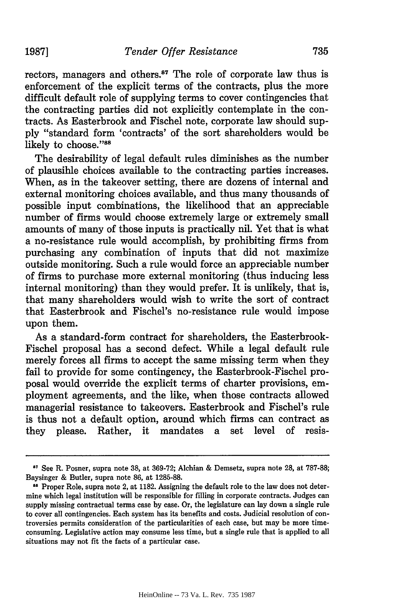rectors, managers and others.<sup>87</sup> The role of corporate law thus is enforcement of the explicit terms of the contracts, plus the more difficult default role of supplying terms to cover contingencies that the contracting parties did not explicitly contemplate in the contracts. As Easterbrook and Fischel note, corporate law should supply "standard form 'contracts' of the sort shareholders would be likely to choose."<sup>88</sup>

The desirability of legal default rules diminishes as the number of plausible choices available to the contracting parties increases. When, as in the takeover setting, there are dozens of internal and external monitoring choices available, and thus many thousands of possible input combinations, the likelihood that an appreciable number of firms would choose extremely large or extremely small amounts of many of those inputs is practically nil. Yet that is what a no-resistance rule would accomplish, by prohibiting firms from purchasing any combination of inputs that did not maximize outside monitoring. Such a rule would force an appreciable number of firms to purchase more external monitoring (thus inducing less internal monitoring) than they would prefer. It is unlikely, that is, that many shareholders would wish to write the sort of contract that Easterbrook and Fischel's no-resistance rule would impose upon them.

As a standard-form contract for shareholders, the Easterbrook-Fischel proposal has a second defect. While a legal default rule merely forces all firms to accept the same missing term when they fail to provide for some contingency, the Easterbrook-Fischel proposal would override the explicit terms of charter provisions, employment agreements, and the like, when those contracts allowed managerial resistance to takeovers. Easterbrook and Fischel's rule is thus not a default option, around which firms can contract as they please. Rather, it mandates a set level of resis-

**<sup>87</sup>** See R. Posner, supra note 38, at 369-72; Alchian & Demsetz, supra note 28, at 787-88; Baysinger & Butler, supra note 86, at 1285-88.

<sup>&</sup>lt;sup>88</sup> Proper Role, supra note 2, at 1182. Assigning the default role to the law does not determine which legal institution will be responsible for filling in corporate contracts. Judges can supply missing contractual terms case by case. Or, the legislature can lay down a single rule to cover all contingencies. Each system has its benefits and costs. Judicial resolution of controversies permits consideration of the particularities of each case, but may be more timeconsuming. Legislative action may consume less time, but a single rule that is applied to all situations may not fit the facts of a particular case.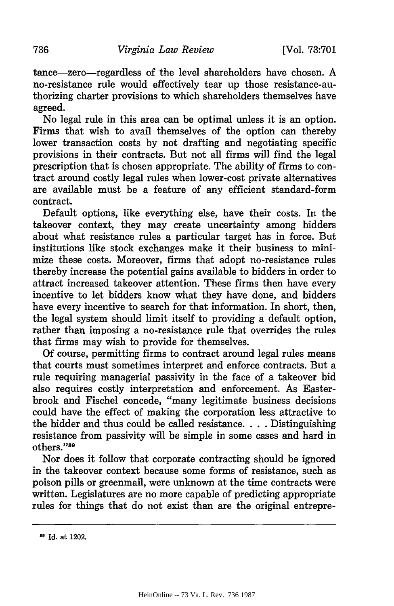tance-zero-regardless of the level shareholders have chosen. A no-resistance rule would effectively tear up those resistance-authorizing charter provisions to which shareholders themselves have agreed.

No legal rule in this area can be optimal unless it is an option. Firms that wish to avail themselves of the option can thereby lower transaction costs by not drafting and negotiating specific provisions in their contracts. But not all firms will find the legal prescription that is chosen appropriate. The ability of firms to contract around costly legal rules when lower-cost private alternatives are available must be a feature of any efficient standard-form contract.

Default options, like everything else, have their costs. In the takeover context, they may create uncertainty among bidders about what resistance rules a particular target has in force. But institutions like stock exchanges make it their business to minimize these costs. Moreover, firms that adopt no-resistance rules thereby increase the potential gains available to bidders in order to attract increased takeover attention. These firms then have every incentive to let bidders know what they have done, and bidders have every incentive to search for that information. In short, then, the legal system should limit itself to providing a default option, rather than imposing a no-resistance rule that overrides the rules that firms may wish to provide for themselves.

Of course, permitting firms to contract around legal rules means that courts must sometimes interpret and enforce contracts. But a rule requiring managerial passivity in the face of a takeover bid also requires costly interpretation and enforcement. As Easterbrook and Fischel concede, "many legitimate business decisions could have the effect of making the corporation less attractive to the bidder and thus could be called resistance. . **.** .Distinguishing resistance from passivity will be simple in some cases and hard in others."89

Nor does it follow that corporate contracting should be ignored in the takeover context because some forms of resistance, such as poison pills or greenmail, were unknown at the time contracts were written. Legislatures are no more capable of predicting appropriate rules for things that do not exist than are the original entrepre-

**<sup>89</sup>**Id. at 1202.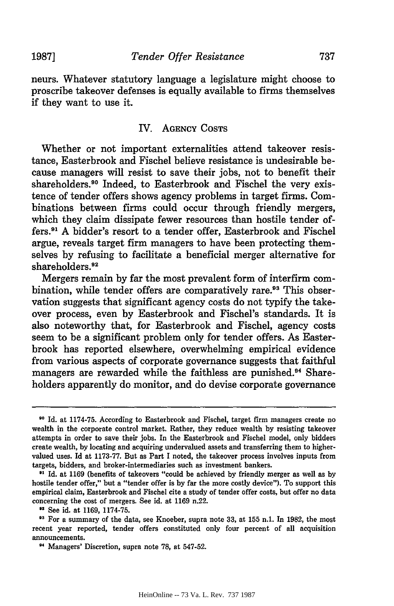neurs. Whatever statutory language a legislature might choose to proscribe takeover defenses is equally available to firms themselves if they want to use it.

#### IV. **AGENCY COSTS**

Whether or not important externalities attend takeover resistance, Easterbrook and Fischel believe resistance is undesirable because managers will resist to save their jobs, not to benefit their shareholders.90 Indeed, to Easterbrook and Fischel the very existence of tender offers shows agency problems in target firms. Combinations between firms could occur through friendly mergers, which they claim dissipate fewer resources than hostile tender offers.9 1 A bidder's resort to a tender offer, Easterbrook and Fischel argue, reveals target firm managers to have been protecting themselves by refusing to facilitate a beneficial merger alternative for shareholders.<sup>92</sup>

Mergers remain by far the most prevalent form of interfirm combination, while tender offers are comparatively rare.<sup>93</sup> This observation suggests that significant agency costs do not typify the takeover process, even by Easterbrook and Fischel's standards. It is also noteworthy that, for Easterbrook and Fischel, agency costs seem to be a significant problem only for tender offers. As Easterbrook has reported elsewhere, overwhelming empirical evidence from various aspects of corporate governance suggests that faithful managers are rewarded while the faithless are punished.<sup>94</sup> Shareholders apparently do monitor, and do devise corporate governance

**<sup>90</sup>** Id. at 1174-75. According to Easterbrook and Fischel, target firm managers create no wealth in the corporate control market. Rather, they reduce wealth by resisting takeover attempts in order to save their jobs. In the Easterbrook and Fischel model, only bidders create wealth, by locating and acquiring undervalued assets and transferring them to highervalued uses. Id at 1173-77. But as Part I noted, the takeover process involves inputs from targets, bidders, and broker-intermediaries such as investment bankers.

<sup>&</sup>quot; Id. at 1169 (benefits of takeovers "could be achieved by friendly merger as well as by hostile tender offer," but a "tender offer is by far the more costly device"). To support this empirical claim, Easterbrook and Fischel cite a study of tender offer costs, but offer no data concerning the cost of mergers. See id. at 1169 n.22.

<sup>&</sup>lt;sup>92</sup> See id. at 1169, 1174-75.

**<sup>&#</sup>x27;3** For a summary of the data, see Knoeber, supra note 33, at 155 n.1. In 1982, the most recent year reported, tender offers constituted only four percent of all acquisition announcements.

**<sup>&#</sup>x27;"** Managers' Discretion, supra note 78, at 547-52.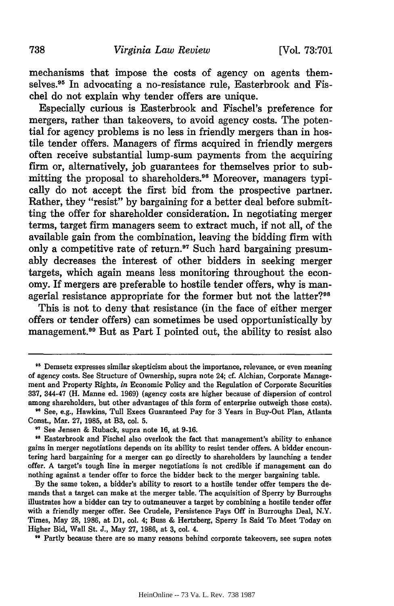mechanisms that impose the costs of agency on agents themselves.95 In advocating a no-resistance rule, Easterbrook and Fischel do not explain why tender offers are unique.

Especially curious is Easterbrook and Fischel's preference for mergers, rather than takeovers, to avoid agency costs. The potential for agency problems is no less in friendly mergers than in hostile tender offers. Managers of firms acquired in friendly mergers often receive substantial lump-sum payments from the acquiring firm or, alternatively, **job** guarantees for themselves prior to submitting the proposal to shareholders.<sup>96</sup> Moreover, managers typically do not accept the first bid from the prospective partner. Rather, they "resist" **by** bargaining for a better deal before submitting the offer for shareholder consideration. In negotiating merger terms, target firm managers seem to extract much, if not all, of the available gain from the combination, leaving the bidding firm with only a competitive rate of return.<sup>97</sup> Such hard bargaining presumably decreases the interest of other bidders in seeking merger targets, which again means less monitoring throughout the economy. If mergers are preferable to hostile tender offers, why is managerial resistance appropriate for the former but not the latter?<sup>98</sup>

This is not to deny that resistance (in the face of either merger offers or tender offers) can sometimes be used opportunistically **by** management.<sup>99</sup> But as Part I pointed out, the ability to resist also

<sup>&</sup>lt;sup>95</sup> Demsetz expresses similar skepticism about the importance, relevance, or even meaning of agency costs. See Structure of Ownership, supra note 24; cf. Alchian, Corporate Management and Property Rights, *in* Economic Policy and the Regulation of Corporate Securities **337,** 344-47 (H. Manne ed. **1969)** (agency costs are higher because of dispersion of control among shareholders, but other advantages of this form of enterprise outweigh those costs).

<sup>&</sup>quot;See, e.g., Hawkins, Tull Execs Guaranteed Pay for **3** Years in Buy-Out Plan, Atlanta Const., Mar. **27, 1985,** at B3, col. **5.**

**<sup>&#</sup>x27;7** See Jensen **&** Ruback, supra note **16,** at **9-16.**

**<sup>98</sup>**Easterbrook and Fischel also overlook the fact that management's ability to enhance gains in merger negotiations depends on its ability to resist tender offers. **A** bidder encountering hard bargaining for a merger can go directly to shareholders **by** launching a tender offer. **A** target's tough line in merger negotiations is not credible if management can do nothing against a tender offer to force the bidder back to the merger bargaining table.

**By** the same token, a bidder's ability to resort to a hostile tender offer tempers the demands that a target can make at the merger table. The acquisition of Sperry **by** Burroughs illustrates how a bidder can try to outmaneuver a target **by** combining a hostile tender offer with a friendly merger offer. See Crudele, Persistence Pays **Off** in Burroughs Deal, N.Y. Times, May **28, 1986,** at **D1,** col. 4; Buss **&** Hertzberg, Sperry Is Said To Meet Today on Higher Bid, Wall St. **J.,** May **27, 1986,** at **3,** col. 4.

**<sup>&</sup>quot;** Partly because there are so many reasons behind corporate takeovers, see supra notes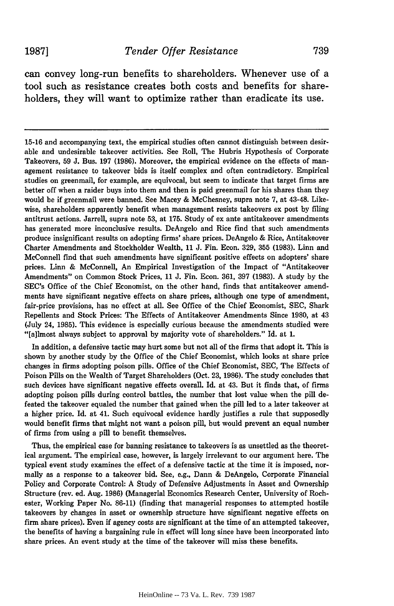can convey long-run benefits to shareholders. Whenever use of a tool such as resistance creates both costs and benefits for shareholders, they will want to optimize rather than eradicate its use.

15-16 and accompanying text, the empirical studies often cannot distinguish between desirable and undesirable takeover activities. See Roll, The Hubris Hypothesis of Corporate Takeovers, 59 J. Bus. 197 (1986). Moreover, the empirical evidence on the effects of management resistance to takeover bids is itself complex and often contradictory. Empirical studies on greenmail, for example, are equivocal, but seem to indicate that target firms are better off when a raider buys into them and then is paid greenmail for his shares than they would be if greenmail were banned. See Macey & McChesney, supra note 7, at 43-48. Likewise, shareholders apparently benefit when management resists takeovers ex post by filing antitrust actions. Jarrell, supra note 53, at 175. Study of ex ante antitakeover amendments has generated more inconclusive results. DeAngelo and Rice find that such amendments produce insignificant results on adopting firms' share prices. DeAngelo & Rice, Antitakeover Charter Amendments and Stockholder Wealth, 11 J. Fin. Econ. 329, 355 (1983). Linn and McConnell find that such amendments have significant positive effects on adopters' share prices. Linn & McConnell, An Empirical Investigation of the Impact of "Antitakeover Amendments" on Common Stock Prices, 11 J. Fin. Econ. 361, 397 (1983). A study by the SEC's Office of the Chief Economist, on the other hand, finds that antitakeover amendments have significant negative effects on share prices, although one type of amendment, fair-price provisions, has no effect at all. See Office of the Chief Economist, SEC, Shark Repellents and Stock Prices: The Effects of Antitakeover Amendments Since 1980, at 43 (July 24, 1985). This evidence is especially curious because the amendments studied were "[a]lmost always subject to approval by majority vote of shareholders." Id. at 1.

In addition, a defensive tactic may hurt some but not all of the firms that adopt it. This is shown by another study by the Office of the Chief Economist, which looks at share price changes in firms adopting poison pills. Office of the Chief Economist, SEC, The Effects of Poison Pills on the Wealth of Target Shareholders (Oct. 23, 1986). The study concludes that such devices have significant negative effects overall. Id. at 43. But it finds that, of firms adopting poison pills during control battles, the number that lost value when the pill defeated the takeover equaled the number that gained when the pill led to a later takeover at a higher price. Id. at 41. Such equivocal evidence hardly justifies a rule that supposedly would benefit firms that might not want a poison pill, but would prevent an equal number of firms from using a pill to benefit themselves.

Thus, the empirical case for banning resistance to takeovers is as unsettled as the theoretical argument. The empirical case, however, is largely irrelevant to our argument here. The typical event study examines the effect of a defensive tactic at the time it is imposed, normally as a response to a takeover bid. See, e.g., Dann & DeAngelo, Corporate Financial Policy and Corporate Control: A Study of Defensive Adjustments in Asset and Ownership Structure (rev. ed. Aug. 1986) (Managerial Economics Research Center, University of Rochester, Working Paper No. 86-11) (finding that managerial responses to attempted hostile takeovers by changes in asset or ownership structure have significant negative effects on firm share prices). Even if agency costs are significant at the time of an attempted takeover, the benefits of having a bargaining rule in effect will long since have been incorporated into share prices. An event study at the time of the takeover will miss these benefits.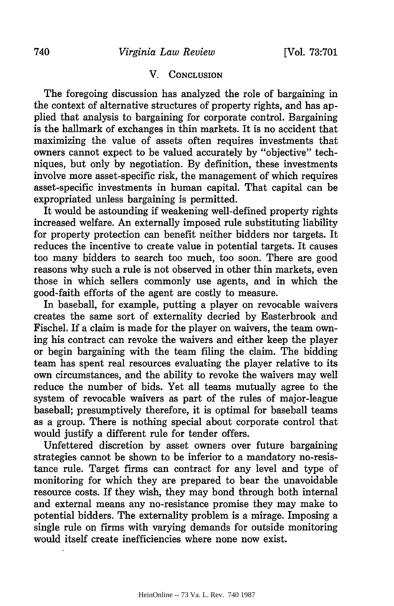## V. **CONCLUSION**

The foregoing discussion has analyzed the role of bargaining in the context of alternative structures of property rights, and has applied that analysis to bargaining for corporate control. Bargaining is the hallmark of exchanges in thin markets. It is no accident that maximizing the value of assets often requires investments that owners cannot expect to be valued accurately by "objective" techniques, but only by negotiation. By definition, these investments involve more asset-specific risk, the management of which requires asset-specific investments in human capital. That capital can be expropriated unless bargaining is permitted.

It would be astounding if weakening well-defined property rights increased welfare. An externally imposed rule substituting liability for property protection can benefit neither bidders nor targets. It reduces the incentive to create value in potential targets. It causes too many bidders to search too much, too soon. There are good reasons why such a rule is not observed in other thin markets, even those in which sellers commonly use agents, and in which the good-faith efforts of the agent are costly to measure.

In baseball, for example, putting a player on revocable waivers creates the same sort of externality decried by Easterbrook and Fischel. If a claim is made for the player on waivers, the team owning his contract can revoke the waivers and either keep the player or begin bargaining with the team filing the claim. The bidding team has spent real resources evaluating the player relative to its own circumstances, and the ability to revoke the waivers may well reduce the number of bids. Yet all teams mutually agree to the system of revocable waivers as part of the rules of major-league baseball; presumptively therefore, it is optimal for baseball teams as a group. There is nothing special about corporate control that would justify a different rule for tender offers.

Unfettered discretion by asset owners over future bargaining strategies cannot be shown to be inferior to a mandatory no-resistance rule. Target firms can contract for any level and type of monitoring for which they are prepared to bear the unavoidable resource costs. If they wish, they may bond through both internal and external means any no-resistance promise they may make to potential bidders. The externality problem is a mirage. Imposing a single rule on firms with varying demands for outside monitoring would itself create inefficiencies where none now exist.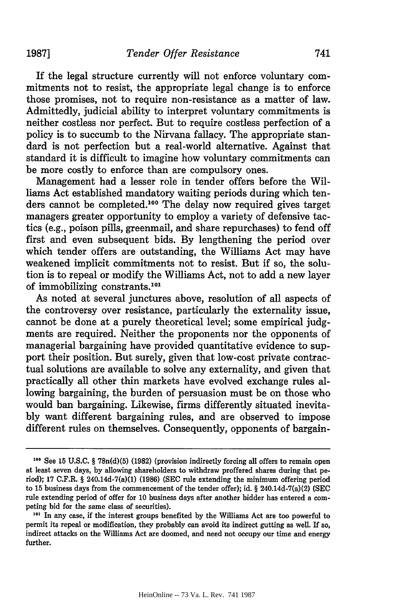If the legal structure currently will not enforce voluntary commitments not to resist, the appropriate legal change is to enforce those promises, not to require non-resistance as a matter of law. Admittedly, judicial ability to interpret voluntary commitments is neither costless nor perfect. But to require costless perfection of a policy is to succumb to the Nirvana fallacy. The appropriate standard is not perfection but a real-world alternative. Against that standard it is difficult to imagine how voluntary commitments can be more costly to enforce than are compulsory ones.

Management had a lesser role in tender offers before the Williams Act established mandatory waiting periods during which tenders cannot be completed.100 The delay now required gives target managers greater opportunity to employ a variety of defensive tactics (e.g., poison pills, greenmail, and share repurchases) to fend off first and even subsequent bids. By lengthening the period over which tender offers are outstanding, the Williams Act may have weakened implicit commitments not to resist. But if so, the solution is to repeal or modify the Williams Act, not to add a new layer of immobilizing constrants.<sup>101</sup>

As noted at several junctures above, resolution of all aspects of the controversy over resistance, particularly the externality issue, cannot be done at a purely theoretical level; some empirical **judg**ments are required. Neither the proponents nor the opponents of managerial bargaining have provided quantitative evidence to support their position. But surely, given that low-cost private contractual solutions are available to solve any externality, and given that practically all other thin markets have evolved exchange rules allowing bargaining, the burden of persuasion must be on those who would ban bargaining. Likewise, firms differently situated inevitably want different bargaining rules, and are observed to impose different rules on themselves. Consequently, opponents of bargain-

**1987]**

**<sup>&</sup>quot;'0** See **15 U.S.C.** § 78n(d)(5) **(1982)** (provision indirectly forcing all offers to remain open at least seven days, **by** allowing shareholders to withdraw proffered shares during that period); **17** C.F.R. § 240.14d-7(a)(1) **(1986) (SEC** rule extending the minimum offering period to **15** business days from the commencement of the tender offer); id. § 240.14d-7(a)(2) **(SEC** rule extending period of offer for **10** business days after another bidder has entered a competing bid for the same class of securities).

**<sup>101</sup>** In any case, if the interest groups benefited **by** the Williams Act are too powerful to permit its repeal or modification, they probably can avoid its indirect gutting as well. If so, indirect attacks on the Williams Act are doomed, and need not occupy our time and energy further.